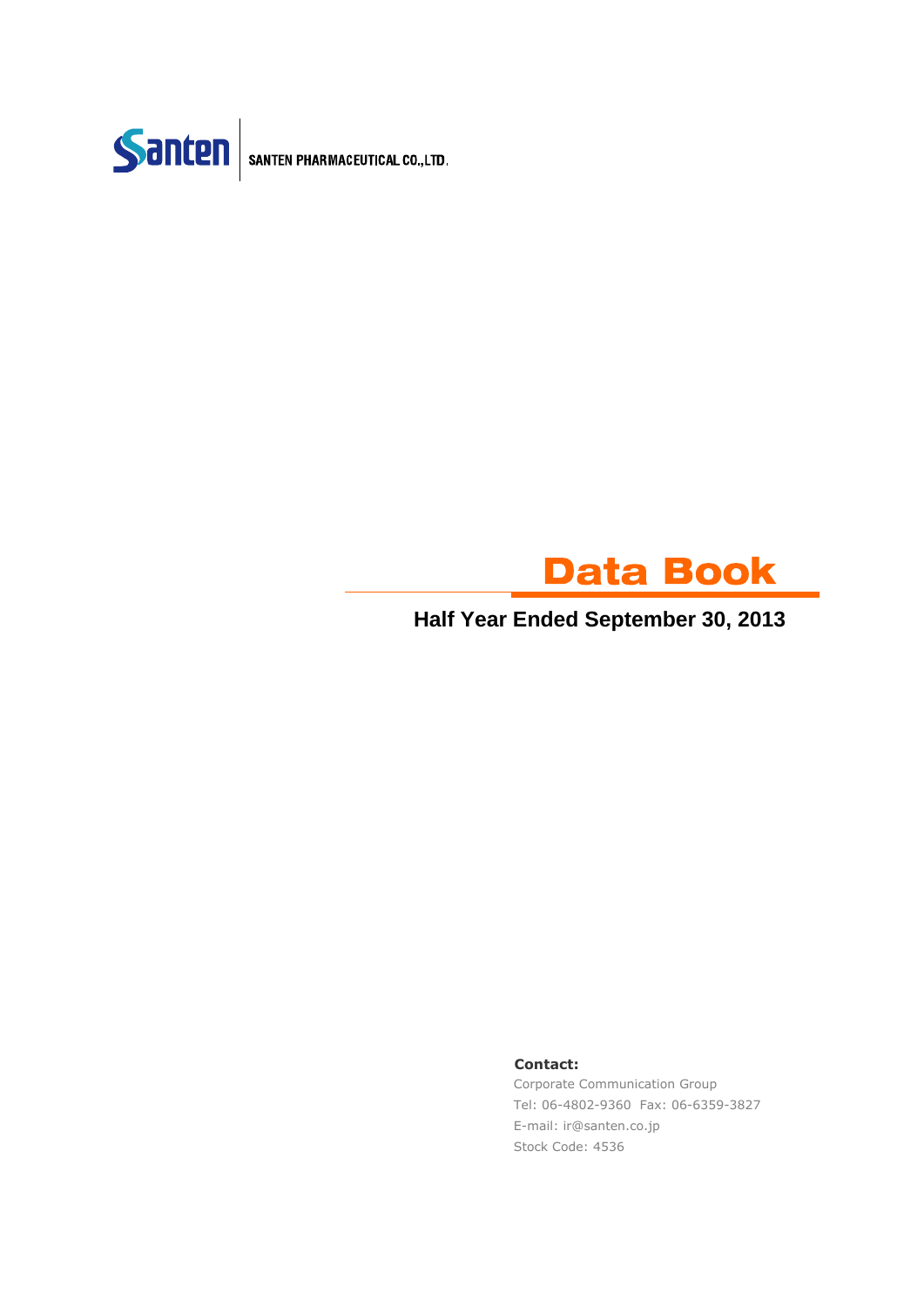

SANTEN PHARMACEUTICAL CO., LTD.



**Half Year Ended September 30, 2013**

### **Contact:**

Corporate Communication Group Tel: 06-4802-9360 Fax: 06-6359-3827 E-mail: ir@santen.co.jp Stock Code: 4536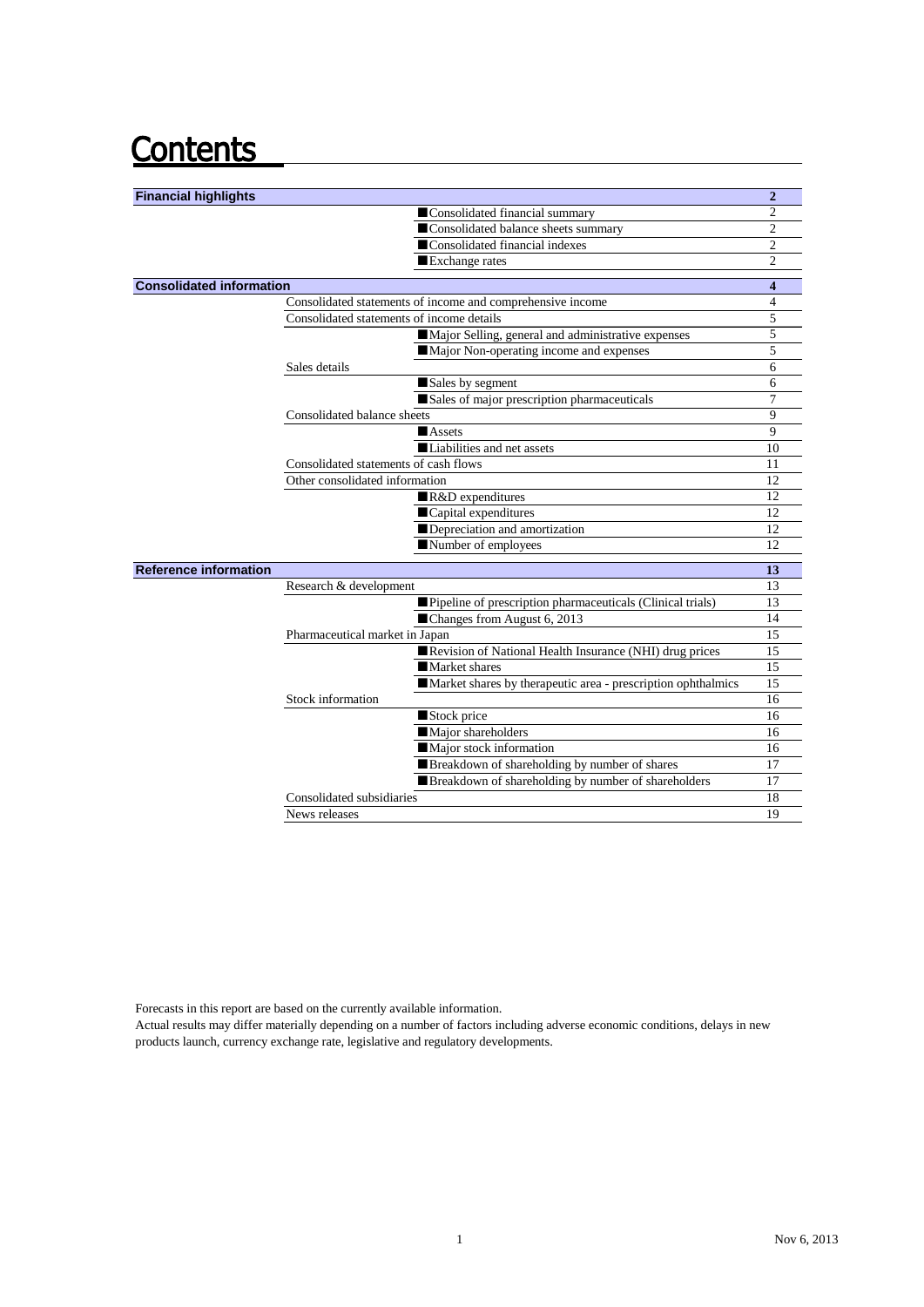## **Contents**

| <b>Financial highlights</b>     |                                           |                                                               | $\overline{2}$ |
|---------------------------------|-------------------------------------------|---------------------------------------------------------------|----------------|
|                                 |                                           | Consolidated financial summary                                | $\overline{c}$ |
|                                 |                                           | Consolidated balance sheets summary                           | $\overline{c}$ |
|                                 |                                           | ■Consolidated financial indexes                               | $\overline{c}$ |
|                                 |                                           | Exchange rates                                                | $\overline{2}$ |
| <b>Consolidated information</b> |                                           |                                                               | 4              |
|                                 |                                           | Consolidated statements of income and comprehensive income    | $\overline{4}$ |
|                                 | Consolidated statements of income details |                                                               | 5              |
|                                 |                                           | Major Selling, general and administrative expenses            | 5              |
|                                 |                                           | Major Non-operating income and expenses                       | 5              |
|                                 | Sales details                             |                                                               | 6              |
|                                 |                                           | Sales by segment                                              | 6              |
|                                 |                                           | Sales of major prescription pharmaceuticals                   | 7              |
|                                 | Consolidated balance sheets               |                                                               | 9              |
|                                 |                                           | Assets                                                        | 9              |
|                                 |                                           | Liabilities and net assets                                    | 10             |
|                                 | Consolidated statements of cash flows     |                                                               | 11             |
|                                 | Other consolidated information            |                                                               | 12             |
|                                 |                                           | $R&D$ expenditures                                            | 12             |
|                                 |                                           | Capital expenditures                                          | 12             |
|                                 |                                           | Depreciation and amortization                                 | 12             |
|                                 |                                           | Number of employees                                           | 12             |
| <b>Reference information</b>    |                                           |                                                               | 13             |
|                                 | Research & development                    |                                                               | 13             |
|                                 |                                           | ■ Pipeline of prescription pharmaceuticals (Clinical trials)  | 13             |
|                                 |                                           | ■Changes from August 6, 2013                                  | 14             |
|                                 | Pharmaceutical market in Japan            |                                                               | 15             |
|                                 |                                           | Revision of National Health Insurance (NHI) drug prices       | 15             |
|                                 |                                           | Market shares                                                 | 15             |
|                                 |                                           | Market shares by the rapeutic area - prescription ophthalmics | 15             |
|                                 | Stock information                         |                                                               | 16             |
|                                 |                                           | Stock price                                                   | 16             |
|                                 |                                           | Major shareholders                                            | 16             |
|                                 |                                           | Major stock information                                       | 16             |
|                                 |                                           | Breakdown of shareholding by number of shares                 | 17             |
|                                 |                                           | Breakdown of shareholding by number of shareholders           | 17             |
|                                 | Consolidated subsidiaries                 |                                                               | 18             |
|                                 | News releases                             |                                                               | 19             |

Forecasts in this report are based on the currently available information.

Actual results may differ materially depending on a number of factors including adverse economic conditions, delays in new products launch, currency exchange rate, legislative and regulatory developments.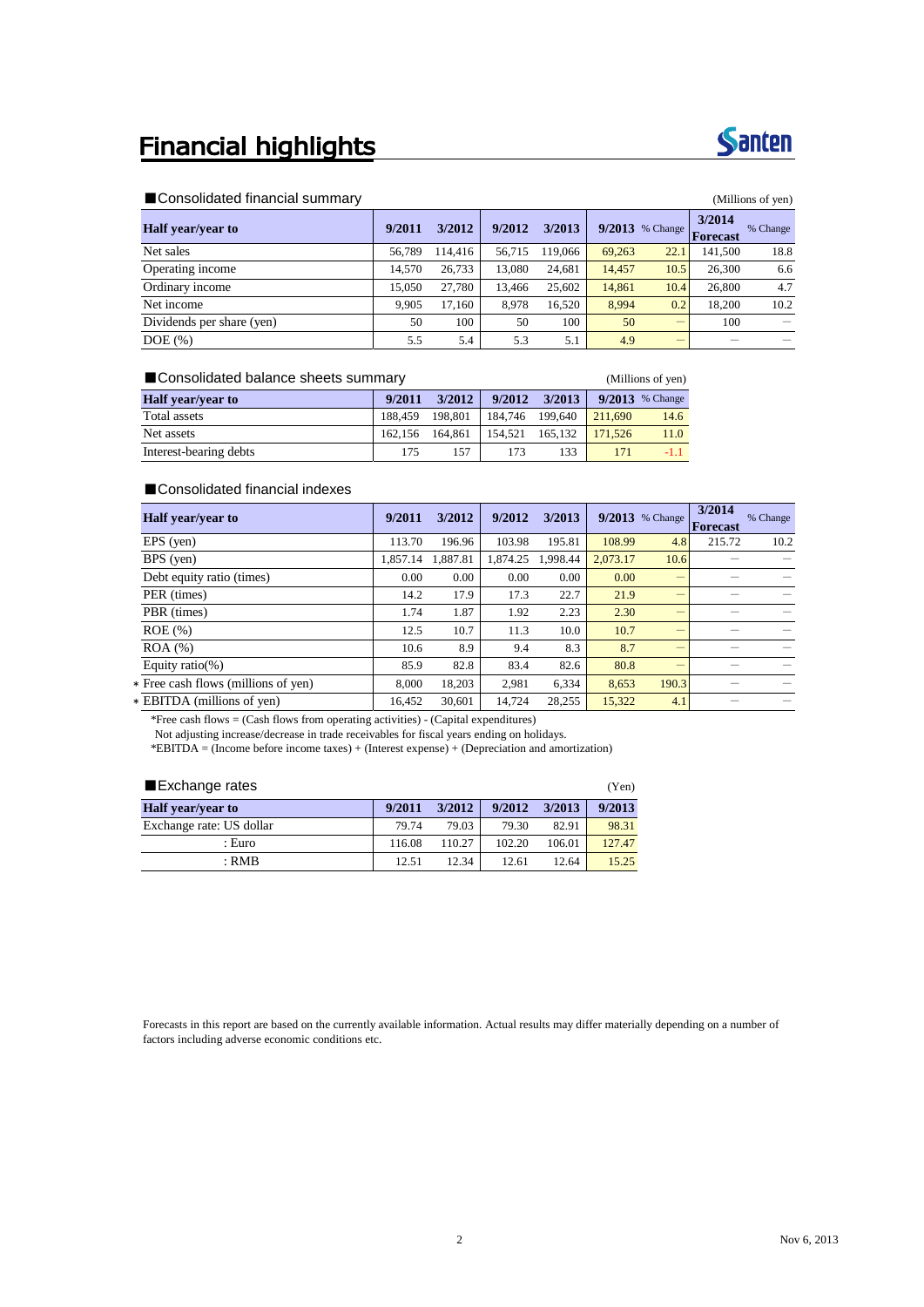### **Financial highlights**



### ■Consolidated financial summary the state of the state of the state of the state of the state of yen) and the state of the state of the state of the state of the state of the state of the state of the state of the state o

| $\blacksquare$ concentration in its rolar commutative<br>$\frac{1}{1}$ |        |         |        |         |        |                   |                    |          |
|------------------------------------------------------------------------|--------|---------|--------|---------|--------|-------------------|--------------------|----------|
| <b>Half</b> year/year to                                               | 9/2011 | 3/2012  | 9/2012 | 3/2013  |        | $9/2013$ % Change | 3/2014<br>Forecast | % Change |
| Net sales                                                              | 56.789 | 114,416 | 56.715 | 119,066 | 69.263 | 22.               | 141.500            | 18.8     |
| Operating income                                                       | 14.570 | 26.733  | 13.080 | 24.681  | 14.457 | 10.5              | 26,300             | 6.6      |
| Ordinary income                                                        | 15.050 | 27,780  | 13.466 | 25.602  | 14.861 | 10.4              | 26,800             | 4.7      |
| Net income                                                             | 9.905  | 17.160  | 8.978  | 16.520  | 8.994  | 0.2               | 18.200             | 10.2     |
| Dividends per share (yen)                                              | 50     | 100     | 50     | 100     | 50     | —                 | 100                |          |
| $DOE$ $(\%)$                                                           | 5.5    | 5.4     | 5.3    | 5.1     | 4.9    |                   |                    |          |

### ■Consolidated balance sheets summary (Millions of yen)

| <b>Half</b> year/year to | 9/2011  | 3/2012  | 9/2012          | 3/2013  |         | $9/2013$ % Change |
|--------------------------|---------|---------|-----------------|---------|---------|-------------------|
| Total assets             | 188.459 | 198.801 | 184.746 199.640 |         | 211.690 | 14.6              |
| Net assets               | 162.156 | 164.861 | 154.521         | 165.132 | 171.526 | 11.0              |
| Interest-bearing debts   | 175     | 157     | 173             | 133     |         | $-1.1$            |

### ■Consolidated financial indexes

| Half year/year to                   | 9/2011   | 3/2012   | 9/2012   | 3/2013   |          | $9/2013$ % Change | 3/2014<br>Forecast | % Change |
|-------------------------------------|----------|----------|----------|----------|----------|-------------------|--------------------|----------|
| $EPS$ (yen)                         | 113.70   | 196.96   | 103.98   | 195.81   | 108.99   | 4.8               | 215.72             | 10.2     |
| $BPS$ (yen)                         | 1.857.14 | 1.887.81 | 1.874.25 | 1.998.44 | 2.073.17 | 10.6              |                    |          |
| Debt equity ratio (times)           | 0.00     | 0.00     | 0.00     | 0.00     | 0.00     | -                 |                    |          |
| PER (times)                         | 14.2     | 17.9     | 17.3     | 22.7     | 21.9     | –                 |                    |          |
| PBR (times)                         | 1.74     | 1.87     | 1.92     | 2.23     | 2.30     | -                 |                    |          |
| $ROE$ $%$                           | 12.5     | 10.7     | 11.3     | 10.0     | 10.7     | –                 |                    |          |
| $ROA$ $%$                           | 10.6     | 8.9      | 9.4      | 8.3      | 8.7      | -                 |                    |          |
| Equity ratio(%)                     | 85.9     | 82.8     | 83.4     | 82.6     | 80.8     | –                 |                    |          |
| * Free cash flows (millions of yen) | 8.000    | 18,203   | 2.981    | 6,334    | 8,653    | 190.3             |                    |          |
| * EBITDA (millions of yen)          | 16.452   | 30,601   | 14,724   | 28,255   | 15,322   | 4.1               |                    |          |

\*Free cash flows = (Cash flows from operating activities) - (Capital expenditures)

Not adjusting increase/decrease in trade receivables for fiscal years ending on holidays.

\*EBITDA = (Income before income taxes) + (Interest expense) + (Depreciation and amortization)

| Exchange rates           |        |        |        |        |        |  |  |
|--------------------------|--------|--------|--------|--------|--------|--|--|
| <b>Half</b> year/year to | 9/2011 | 3/2012 | 9/2012 | 3/2013 | 9/2013 |  |  |
| Exchange rate: US dollar | 79.74  | 79.03  | 79.30  | 82.91  | 98.31  |  |  |
| : Euro                   | 116.08 | 110.27 | 102.20 | 106.01 | 127.47 |  |  |
| : RMB                    | 12.51  | 12.34  | 12.61  | 12.64  | 15.25  |  |  |

Forecasts in this report are based on the currently available information. Actual results may differ materially depending on a number of factors including adverse economic conditions etc.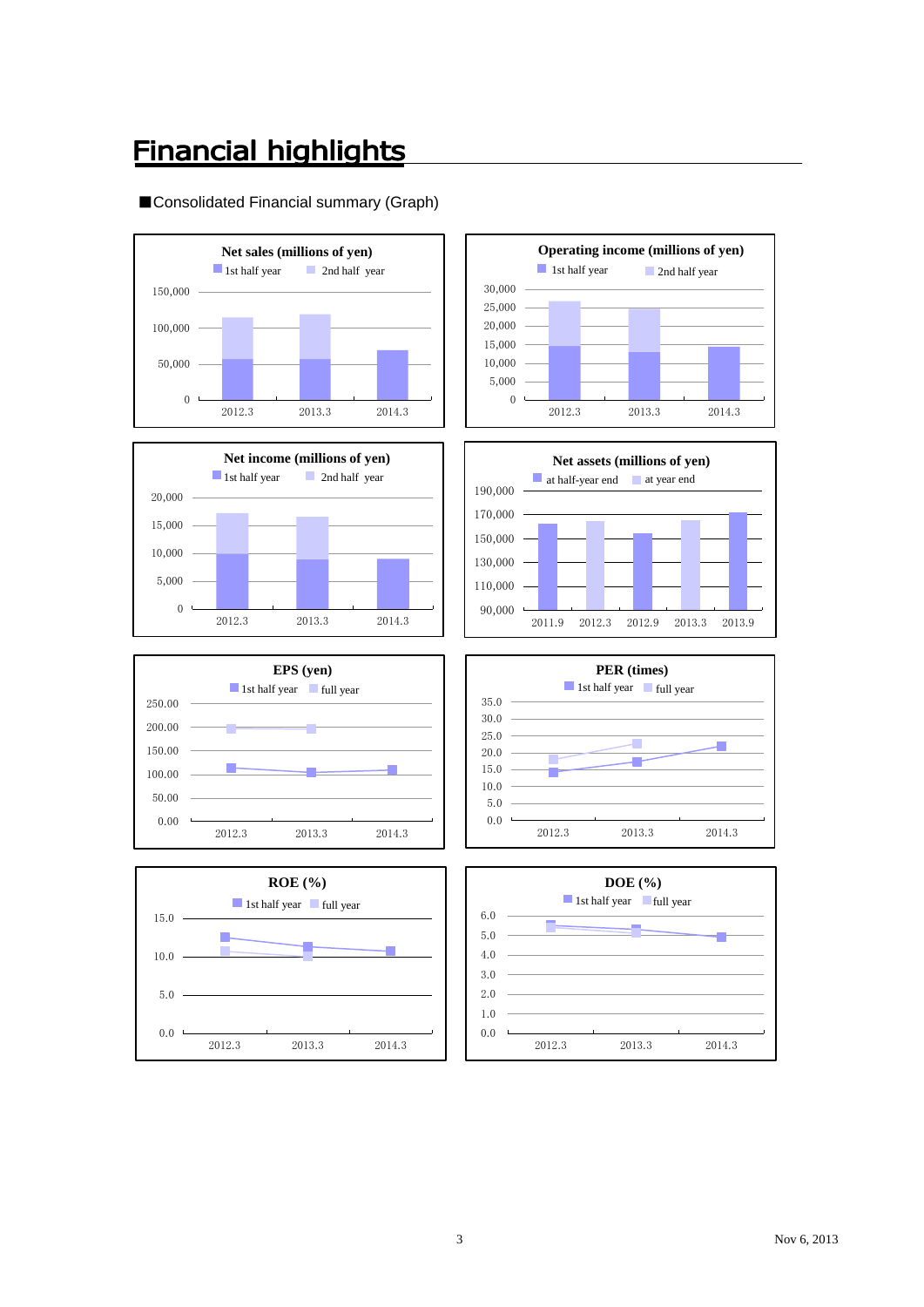## **Financial highlights**

### ■Consolidated Financial summary (Graph)















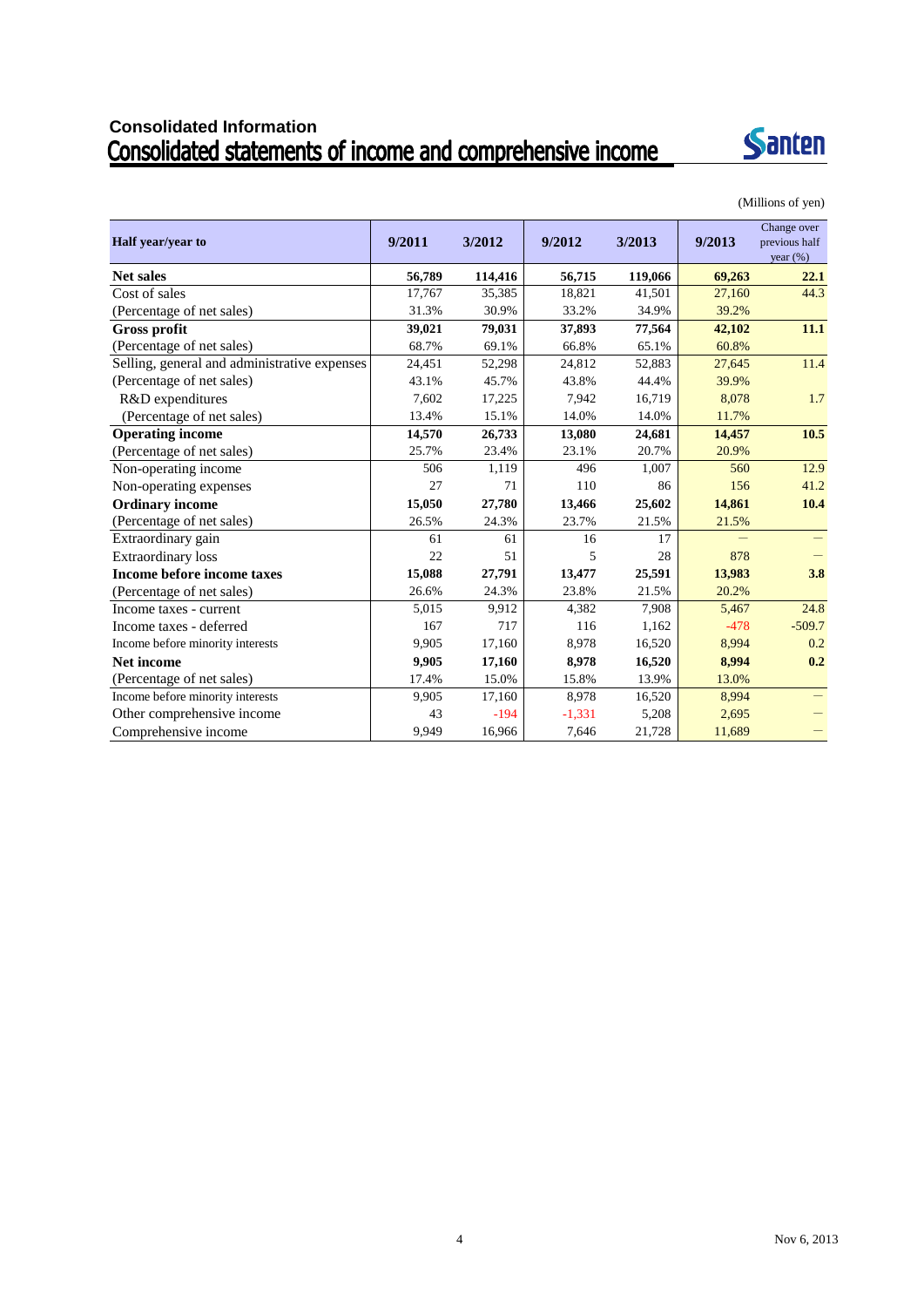## Consolidated Information<br>Consolidated statements of income and comprehensive income



|                                              |        |         |          |         |        | Change over   |
|----------------------------------------------|--------|---------|----------|---------|--------|---------------|
| Half year/year to                            | 9/2011 | 3/2012  | 9/2012   | 3/2013  | 9/2013 | previous half |
|                                              |        |         |          |         |        | year $(\% )$  |
| <b>Net sales</b>                             | 56,789 | 114,416 | 56,715   | 119,066 | 69,263 | 22.1          |
| Cost of sales                                | 17,767 | 35,385  | 18,821   | 41,501  | 27,160 | 44.3          |
| (Percentage of net sales)                    | 31.3%  | 30.9%   | 33.2%    | 34.9%   | 39.2%  |               |
| <b>Gross profit</b>                          | 39,021 | 79,031  | 37,893   | 77,564  | 42,102 | 11.1          |
| (Percentage of net sales)                    | 68.7%  | 69.1%   | 66.8%    | 65.1%   | 60.8%  |               |
| Selling, general and administrative expenses | 24,451 | 52,298  | 24,812   | 52,883  | 27,645 | 11.4          |
| (Percentage of net sales)                    | 43.1%  | 45.7%   | 43.8%    | 44.4%   | 39.9%  |               |
| R&D expenditures                             | 7,602  | 17,225  | 7,942    | 16,719  | 8,078  | 1.7           |
| (Percentage of net sales)                    | 13.4%  | 15.1%   | 14.0%    | 14.0%   | 11.7%  |               |
| <b>Operating income</b>                      | 14,570 | 26,733  | 13,080   | 24,681  | 14,457 | 10.5          |
| (Percentage of net sales)                    | 25.7%  | 23.4%   | 23.1%    | 20.7%   | 20.9%  |               |
| Non-operating income                         | 506    | 1,119   | 496      | 1,007   | 560    | 12.9          |
| Non-operating expenses                       | 27     | 71      | 110      | 86      | 156    | 41.2          |
| <b>Ordinary income</b>                       | 15,050 | 27,780  | 13,466   | 25,602  | 14,861 | 10.4          |
| (Percentage of net sales)                    | 26.5%  | 24.3%   | 23.7%    | 21.5%   | 21.5%  |               |
| Extraordinary gain                           | 61     | 61      | 16       | 17      |        |               |
| <b>Extraordinary</b> loss                    | 22     | 51      | 5        | 28      | 878    |               |
| Income before income taxes                   | 15,088 | 27,791  | 13,477   | 25,591  | 13,983 | 3.8           |
| (Percentage of net sales)                    | 26.6%  | 24.3%   | 23.8%    | 21.5%   | 20.2%  |               |
| Income taxes - current                       | 5,015  | 9,912   | 4,382    | 7,908   | 5,467  | 24.8          |
| Income taxes - deferred                      | 167    | 717     | 116      | 1,162   | $-478$ | $-509.7$      |
| Income before minority interests             | 9,905  | 17,160  | 8,978    | 16,520  | 8,994  | 0.2           |
| Net income                                   | 9,905  | 17,160  | 8,978    | 16,520  | 8,994  | 0.2           |
| (Percentage of net sales)                    | 17.4%  | 15.0%   | 15.8%    | 13.9%   | 13.0%  |               |
| Income before minority interests             | 9,905  | 17,160  | 8,978    | 16,520  | 8,994  |               |
| Other comprehensive income                   | 43     | $-194$  | $-1,331$ | 5,208   | 2,695  |               |
| Comprehensive income                         | 9,949  | 16,966  | 7,646    | 21,728  | 11,689 |               |

(Millions of yen)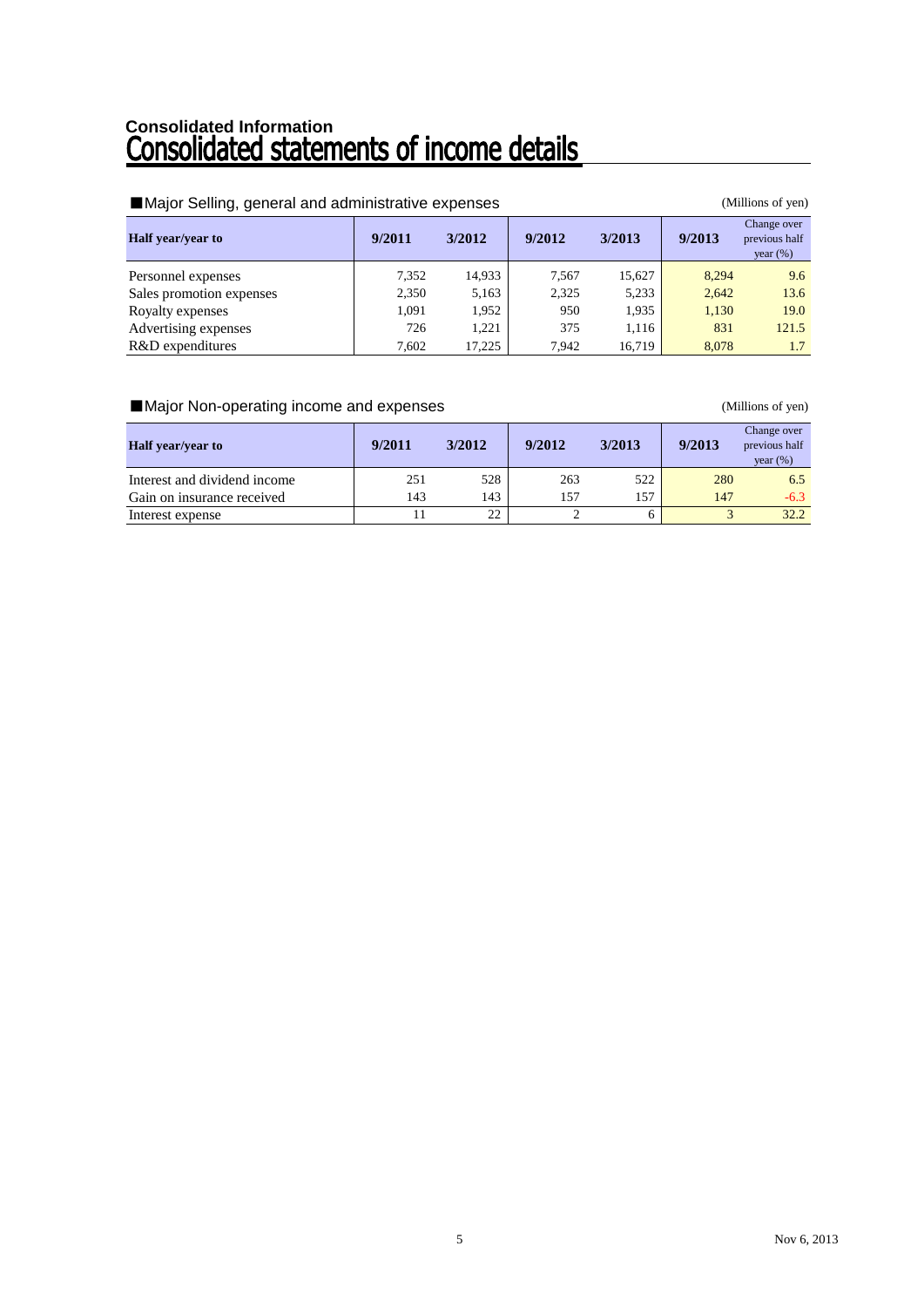# Consolidated Information<br>**Consolidated statements of income details**

| Major Selling, general and administrative expenses |        |        | (Millions of yen) |        |        |                                             |
|----------------------------------------------------|--------|--------|-------------------|--------|--------|---------------------------------------------|
| <b>Half</b> year/year to                           | 9/2011 | 3/2012 | 9/2012            | 3/2013 | 9/2013 | Change over<br>previous half<br>year $(\%)$ |
| Personnel expenses                                 | 7,352  | 14,933 | 7,567             | 15,627 | 8.294  | 9.6                                         |
| Sales promotion expenses                           | 2,350  | 5,163  | 2,325             | 5,233  | 2,642  | 13.6                                        |
| Royalty expenses                                   | 1,091  | 1.952  | 950               | 1,935  | 1,130  | 19.0                                        |
| Advertising expenses                               | 726    | 1.221  | 375               | 1,116  | 831    | 121.5                                       |
| R&D expenditures                                   | 7.602  | 17.225 | 7.942             | 16.719 | 8.078  | 1.7                                         |

### ■Major Non-operating income and expenses (Millions of yen)

| <b>Half</b> year/year to     | 9/2011 | 3/2012 | 9/2012 | 3/2013 | 9/2013 | Change over<br>previous half<br>year $(\%)$ |
|------------------------------|--------|--------|--------|--------|--------|---------------------------------------------|
| Interest and dividend income | 251    | 528    | 263    | 522    | 280    | 6.5                                         |
| Gain on insurance received   | 143    | 143    | 157    | 157    | 147    | -6.3                                        |
| Interest expense             |        | 22     |        |        |        | 32.2                                        |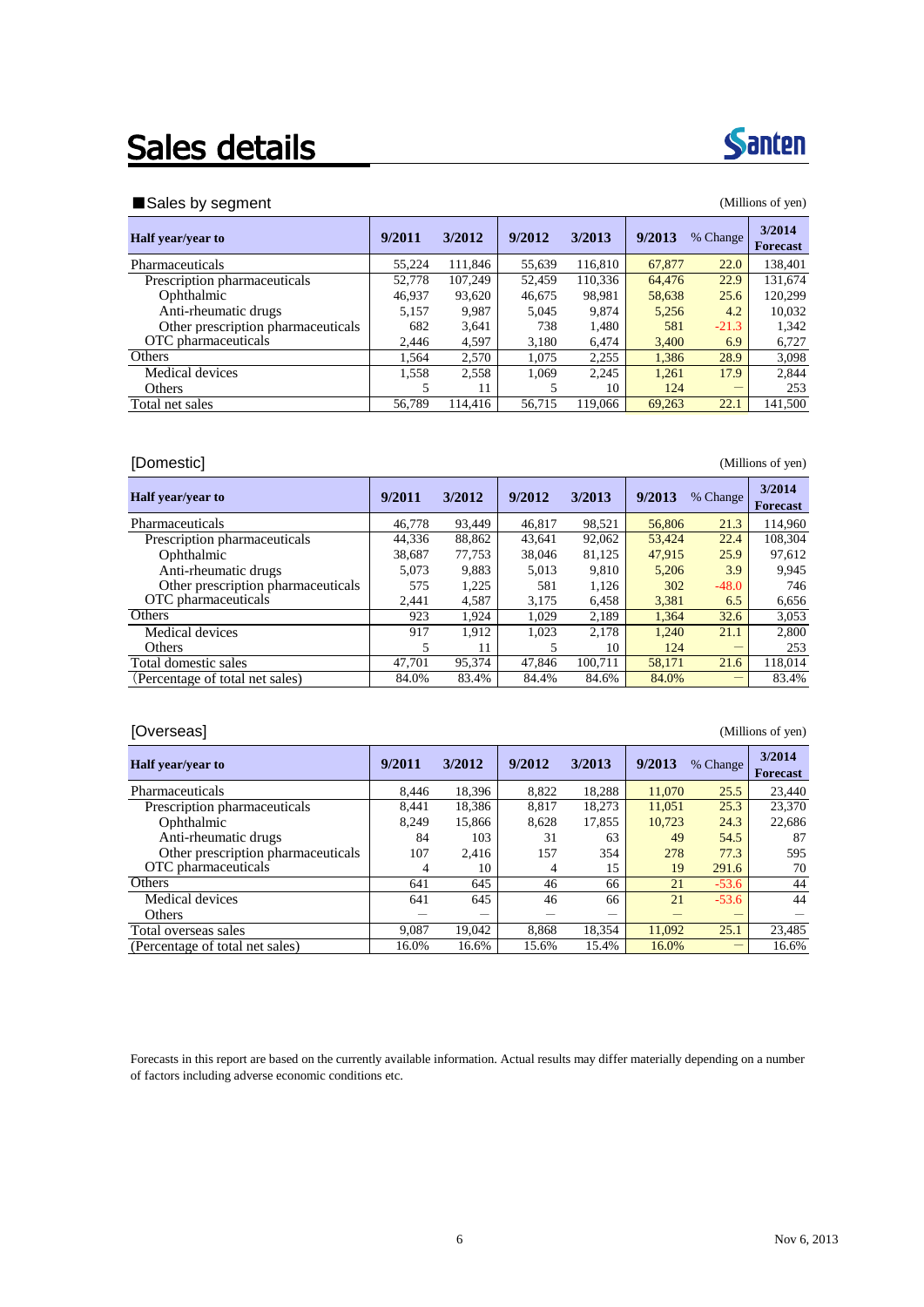## Sales details



### ■Sales by segment (Millions of yen)

| 9/2011 | 3/2012  | 9/2012 | 3/2013  | 9/2013 |         | 3/2014<br><b>Forecast</b>                               |
|--------|---------|--------|---------|--------|---------|---------------------------------------------------------|
| 55.224 | 111,846 | 55.639 | 116,810 | 67,877 | 22.0    | 138,401                                                 |
| 52.778 | 107.249 | 52.459 | 110,336 |        | 22.9    | 131,674                                                 |
| 46,937 | 93,620  | 46,675 | 98,981  |        | 25.6    | 120,299                                                 |
| 5,157  | 9,987   | 5,045  | 9,874   |        | 4.2     | 10,032                                                  |
| 682    | 3,641   | 738    | 1,480   | 581    | $-21.3$ | 1.342                                                   |
| 2.446  | 4,597   | 3,180  | 6.474   |        | 6.9     | 6.727                                                   |
| 1.564  | 2,570   | 1.075  | 2,255   |        | 28.9    | 3,098                                                   |
| 1,558  | 2,558   | 1.069  | 2,245   | 1,261  | 17.9    | 2,844                                                   |
| 5      | 11      | 5      | 10      | 124    |         | 253                                                     |
| 56,789 | 114,416 | 56,715 | 119,066 | 69.263 | 22.1    | 141.500                                                 |
|        |         |        |         |        |         | % Change<br>64,476<br>58,638<br>5,256<br>3,400<br>1,386 |

### [Domestic] (Millions of yen)

| <b>Half</b> year/year to           | 9/2011 | 3/2012 | 9/2012 | 3/2013  | 9/2013 | % Change | 3/2014<br>Forecast |
|------------------------------------|--------|--------|--------|---------|--------|----------|--------------------|
| Pharmaceuticals                    | 46.778 | 93.449 | 46.817 | 98,521  | 56,806 | 21.3     | 114,960            |
| Prescription pharmaceuticals       | 44.336 | 88,862 | 43.641 | 92,062  | 53.424 | 22.4     | 108,304            |
| Ophthalmic                         | 38,687 | 77.753 | 38,046 | 81,125  | 47,915 | 25.9     | 97,612             |
| Anti-rheumatic drugs               | 5.073  | 9.883  | 5.013  | 9.810   | 5.206  | 3.9      | 9.945              |
| Other prescription pharmaceuticals | 575    | 1,225  | 581    | 1,126   | 302    | $-48.0$  | 746                |
| OTC pharmaceuticals                | 2.441  | 4,587  | 3.175  | 6.458   | 3.381  | 6.5      | 6,656              |
| Others                             | 923    | 1,924  | 1.029  | 2,189   | 1.364  | 32.6     | 3,053              |
| Medical devices                    | 917    | 1.912  | 1.023  | 2.178   | 1,240  | 21.1     | 2,800              |
| <b>Others</b>                      | 5      | 11     |        | 10      | 124    |          | 253                |
| Total domestic sales               | 47,701 | 95,374 | 47.846 | 100.711 | 58.171 | 21.6     | 118,014            |
| (Percentage of total net sales)    | 84.0%  | 83.4%  | 84.4%  | 84.6%   | 84.0%  |          | 83.4%              |

### [Overseas] (Millions of yen)

| <b>Half</b> year/year to           | 9/2011 | 3/2012 | 9/2012 | 3/2013 | 9/2013 | % Change | 3/2014<br>Forecast |
|------------------------------------|--------|--------|--------|--------|--------|----------|--------------------|
| Pharmaceuticals                    | 8.446  | 18,396 | 8.822  | 18,288 | 11,070 | 25.5     | 23,440             |
| Prescription pharmaceuticals       | 8.441  | 18,386 | 8.817  | 18.273 | 11.051 | 25.3     | 23,370             |
| Ophthalmic                         | 8.249  | 15.866 | 8,628  | 17,855 | 10.723 | 24.3     | 22,686             |
| Anti-rheumatic drugs               | 84     | 103    | 31     | 63     | 49     | 54.5     | 87                 |
| Other prescription pharmaceuticals | 107    | 2.416  | 157    | 354    | 278    | 77.3     | 595                |
| OTC pharmaceuticals                | 4      | 10     | 4      | 15     | 19     | 291.6    | 70                 |
| <b>Others</b>                      | 641    | 645    | 46     | 66     | 21     | $-53.6$  | 44                 |
| Medical devices                    | 641    | 645    | 46     | 66     | 21     | $-53.6$  | 44                 |
| <b>Others</b>                      |        | _      |        |        |        |          |                    |
| Total overseas sales               | 9.087  | 19.042 | 8.868  | 18.354 | 11.092 | 25.1     | 23,485             |
| (Percentage of total net sales)    | 16.0%  | 16.6%  | 15.6%  | 15.4%  | 16.0%  |          | 16.6%              |

Forecasts in this report are based on the currently available information. Actual results may differ materially depending on a number of factors including adverse economic conditions etc.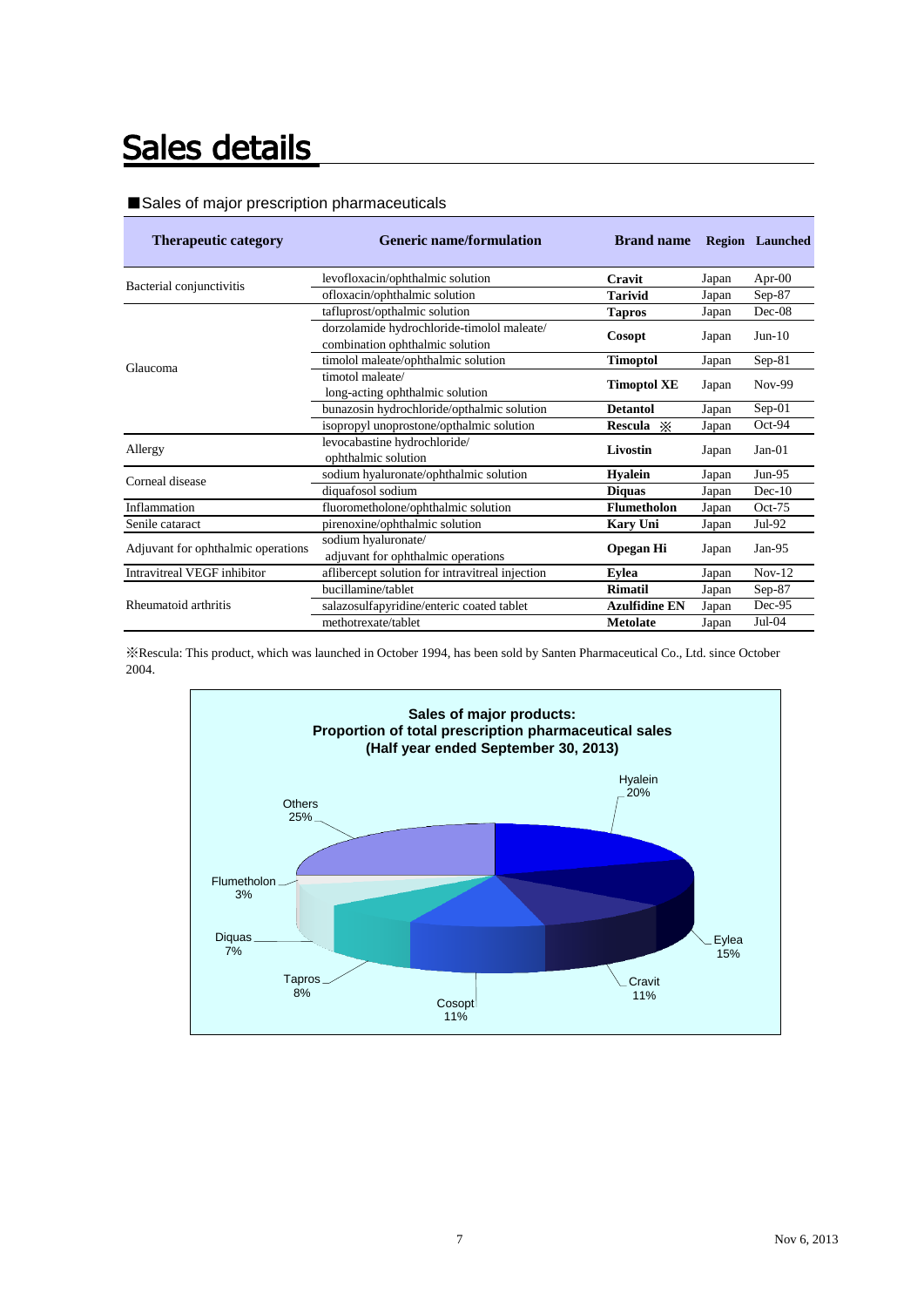## Sales details

### ■Sales of major prescription pharmaceuticals

| <b>Therapeutic category</b>        | <b>Generic name/formulation</b>                                               | <b>Brand name</b>    |       | <b>Region</b> Launched |
|------------------------------------|-------------------------------------------------------------------------------|----------------------|-------|------------------------|
| Bacterial conjunctivitis           | levofloxacin/ophthalmic solution                                              | Cravit               | Japan | Apr- $00$              |
|                                    | ofloxacin/ophthalmic solution                                                 | <b>Tarivid</b>       | Japan | $Sep-87$               |
|                                    | tafluprost/opthalmic solution                                                 | <b>Tapros</b>        | Japan | $Dec-08$               |
|                                    | dorzolamide hydrochloride-timolol maleate/<br>combination ophthalmic solution | Cosopt               | Japan | $Jun-10$               |
|                                    | timolol maleate/ophthalmic solution                                           | <b>Timoptol</b>      | Japan | $Sep-81$               |
| Glaucoma                           | timotol maleate/<br>long-acting ophthalmic solution                           | <b>Timoptol XE</b>   | Japan | Nov-99                 |
|                                    | bunazosin hydrochloride/opthalmic solution                                    | <b>Detantol</b>      | Japan | $Sep-01$               |
|                                    | isopropyl unoprostone/opthalmic solution                                      | Rescula ※            | Japan | $Oct-94$               |
| Allergy                            | levocabastine hydrochloride/<br>ophthalmic solution                           | Livostin             | Japan | $Jan-01$               |
| Corneal disease                    | sodium hyaluronate/ophthalmic solution                                        | <b>Hyalein</b>       | Japan | $Jun-95$               |
|                                    | diquafosol sodium                                                             | <b>Diquas</b>        | Japan | $Dec-10$               |
| Inflammation                       | fluorometholone/ophthalmic solution                                           | <b>Flumetholon</b>   | Japan | $Oct-75$               |
| Senile cataract                    | pirenoxine/ophthalmic solution                                                | <b>Kary Uni</b>      | Japan | $Jul-92$               |
| Adjuvant for ophthalmic operations | sodium hyaluronate/<br>adjuvant for ophthalmic operations                     | <b>Opegan Hi</b>     | Japan | $Jan-95$               |
| Intravitreal VEGF inhibitor        | aflibercept solution for intravitreal injection                               | <b>Evlea</b>         | Japan | $Nov-12$               |
|                                    | bucillamine/tablet                                                            | <b>Rimatil</b>       | Japan | $Sep-87$               |
| Rheumatoid arthritis               | salazosulfapyridine/enteric coated tablet                                     | <b>Azulfidine EN</b> | Japan | $Dec-95$               |
|                                    | methotrexate/tablet                                                           | <b>Metolate</b>      | Japan | $Jul-04$               |

※Rescula: This product, which was launched in October 1994, has been sold by Santen Pharmaceutical Co., Ltd. since October 2004.

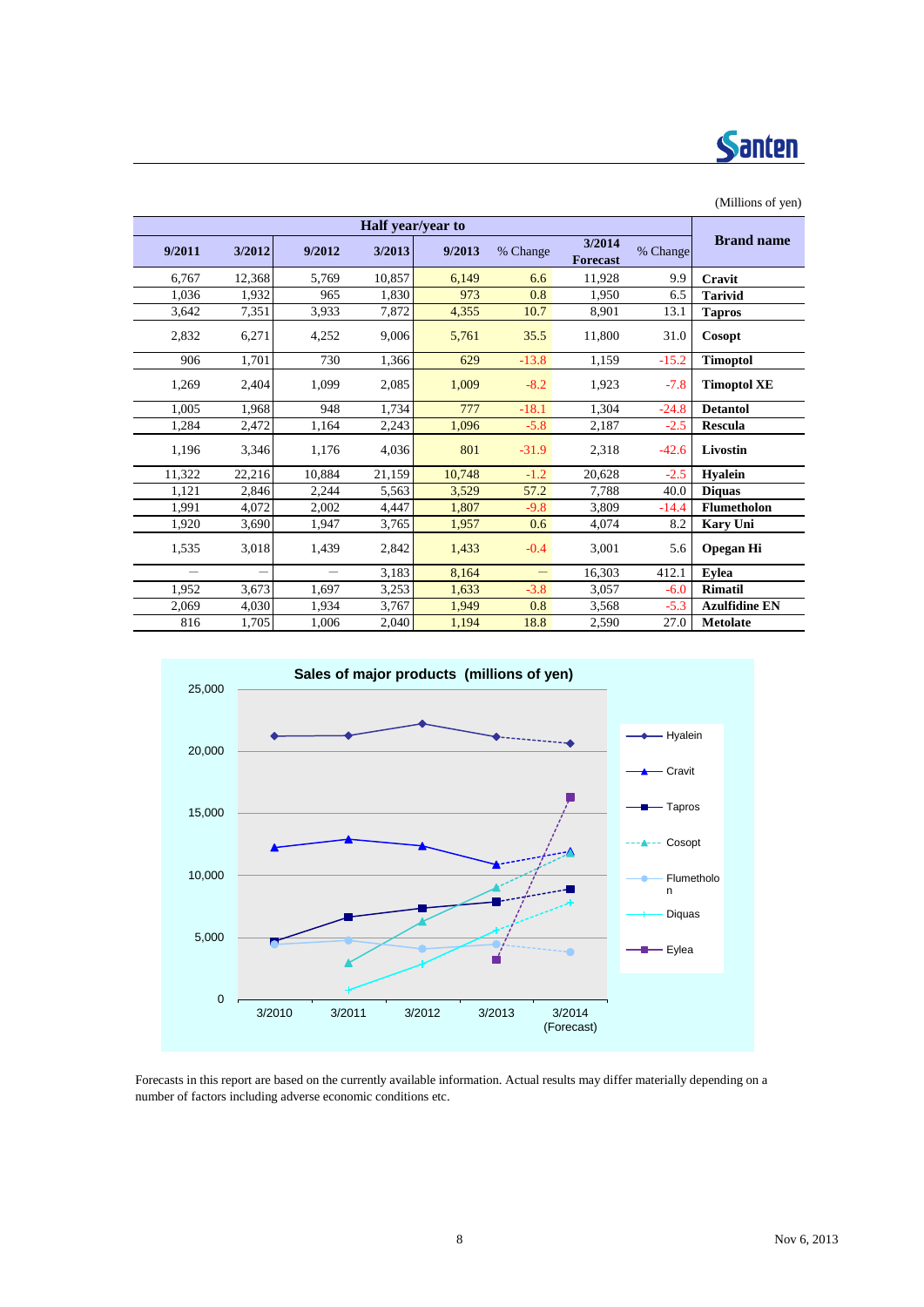

| $($ wannono or $($ vn $)$ |          |                           |                   |        |                   |                          |                          |                          |
|---------------------------|----------|---------------------------|-------------------|--------|-------------------|--------------------------|--------------------------|--------------------------|
|                           |          |                           |                   |        | Half year/year to |                          |                          |                          |
| <b>Brand name</b>         | % Change | 3/2014<br><b>Forecast</b> | % Change          | 9/2013 | 3/2013            | 9/2012                   | 3/2012                   | 9/2011                   |
| Cravit                    | 9.9      | 11.928                    | 6.6               | 6,149  | 10,857            | 5,769                    | 12,368                   | 6,767                    |
| <b>Tarivid</b>            | 6.5      | 1,950                     | 0.8               | 973    | 1,830             | 965                      | 1,932                    | 1,036                    |
| <b>Tapros</b>             | 13.1     | 8,901                     | 10.7              | 4,355  | 7,872             | 3,933                    | 7,351                    | 3,642                    |
| Cosopt                    | 31.0     | 11,800                    | 35.5              | 5,761  | 9,006             | 4,252                    | 6,271                    | 2,832                    |
| <b>Timoptol</b>           | $-15.2$  | 1,159                     | $-13.8$           | 629    | 1,366             | 730                      | 1,701                    | 906                      |
| <b>Timoptol XE</b>        | $-7.8$   | 1,923                     | $-8.2$            | 1,009  | 2,085             | 1,099                    | 2,404                    | 1,269                    |
| <b>Detantol</b>           | $-24.8$  | 1,304                     | $-18.1$           | 777    | 1,734             | 948                      | 1,968                    | 1,005                    |
| <b>Rescula</b>            | $-2.5$   | 2,187                     | $-5.8$            | 1,096  | 2,243             | 1,164                    | 2,472                    | 1,284                    |
| Livostin                  | $-42.6$  | 2,318                     | $-31.9$           | 801    | 4,036             | 1,176                    | 3,346                    | 1,196                    |
| <b>Hyalein</b>            | $-2.5$   | 20,628                    | $-1.2$            | 10,748 | 21,159            | 10,884                   | 22,216                   | 11,322                   |
| <b>Diquas</b>             | 40.0     | 7.788                     | 57.2              | 3,529  | 5,563             | 2,244                    | 2,846                    | 1,121                    |
| Flumetholon               | $-14.4$  | 3,809                     | $-9.8$            | 1,807  | 4,447             | 2,002                    | 4,072                    | 1,991                    |
| <b>Kary Uni</b>           | 8.2      | 4,074                     | 0.6               | 1,957  | 3,765             | 1,947                    | 3,690                    | 1,920                    |
| <b>Opegan Hi</b>          | 5.6      | 3,001                     | $-0.4$            | 1,433  | 2,842             | 1.439                    | 3.018                    | 1,535                    |
| Eylea                     | 412.1    | 16,303                    | $\qquad \qquad -$ | 8,164  | 3.183             | $\overline{\phantom{0}}$ | $\overline{\phantom{0}}$ | $\overline{\phantom{0}}$ |
| <b>Rimatil</b>            | $-6.0$   | 3,057                     | $-3.8$            | 1,633  | 3,253             | 1.697                    | 3,673                    | 1.952                    |
| <b>Azulfidine EN</b>      | $-5.3$   | 3,568                     | 0.8               | 1,949  | 3,767             | 1.934                    | 4.030                    | 2,069                    |
| <b>Metolate</b>           | 27.0     | 2,590                     | 18.8              | 1,194  | 2,040             | 1,006                    | 1,705                    | 816                      |



Forecasts in this report are based on the currently available information. Actual results may differ materially depending on a number of factors including adverse economic conditions etc.

### (Millions of yen)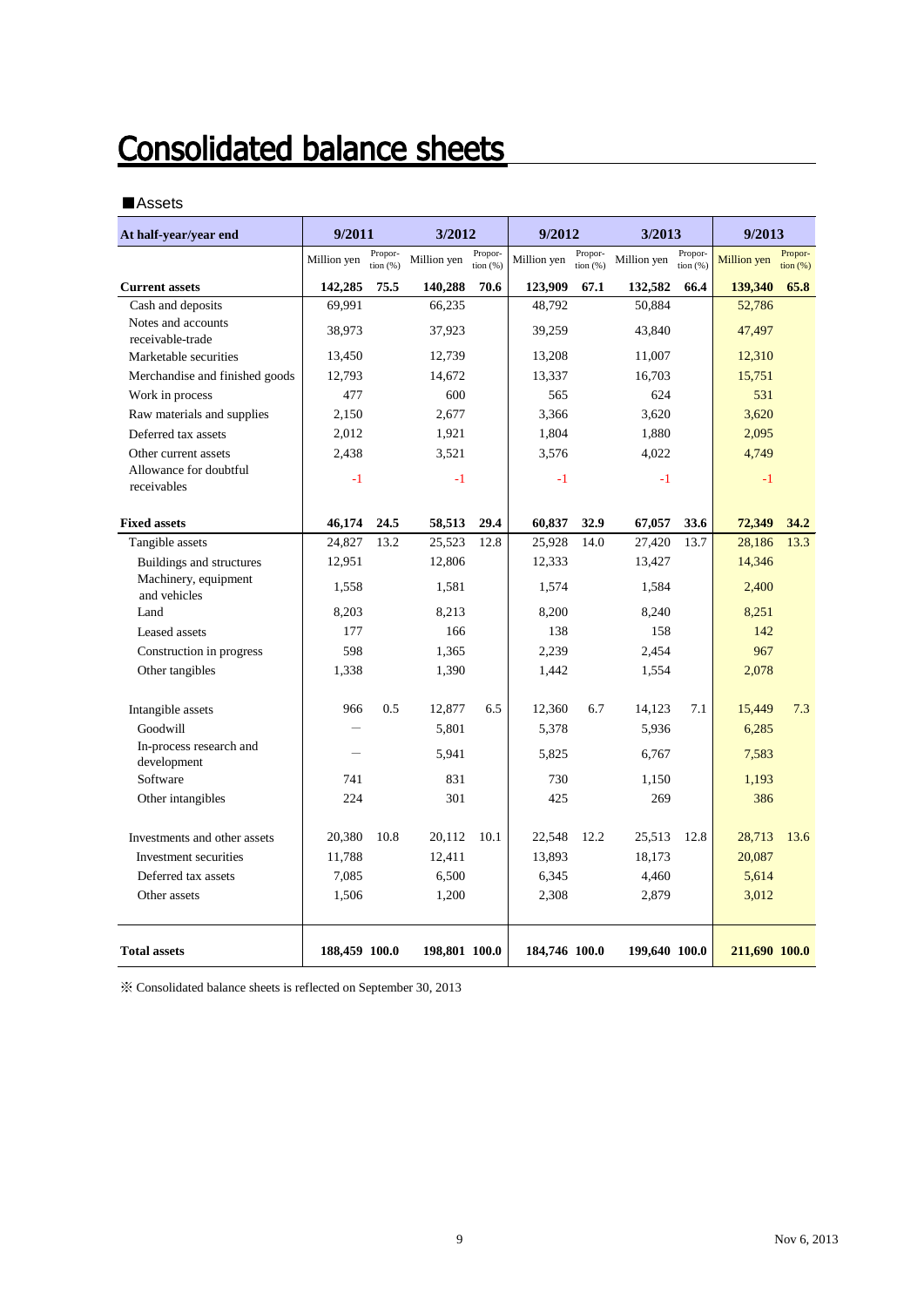## **Consolidated balance sheets**

### ■Assets

| At half-year/year end                  | 9/2011        |                       | 3/2012        |                        | 9/2012        |                     | 3/2013        |                     | 9/2013        |                        |
|----------------------------------------|---------------|-----------------------|---------------|------------------------|---------------|---------------------|---------------|---------------------|---------------|------------------------|
|                                        | Million yen   | Propor-<br>tion $(%)$ | Million yen   | Propor-<br>tion $(% )$ | Million yen   | Propor-<br>tion (%) | Million yen   | Propor-<br>tion (%) | Million yen   | Propor-<br>tion $(\%)$ |
| <b>Current assets</b>                  | 142,285       | 75.5                  | 140,288       | 70.6                   | 123,909       | 67.1                | 132,582       | 66.4                | 139,340       | 65.8                   |
| Cash and deposits                      | 69,991        |                       | 66,235        |                        | 48,792        |                     | 50,884        |                     | 52,786        |                        |
| Notes and accounts                     | 38,973        |                       | 37,923        |                        | 39,259        | 43,840              |               |                     | 47,497        |                        |
| receivable-trade                       |               |                       |               |                        |               |                     |               |                     |               |                        |
| Marketable securities                  | 13,450        |                       | 12,739        |                        | 13,208        |                     | 11,007        |                     | 12,310        |                        |
| Merchandise and finished goods         | 12,793        |                       | 14,672        |                        | 13,337        |                     | 16,703        |                     | 15,751        |                        |
| Work in process                        | 477           |                       | 600           |                        | 565           |                     | 624           |                     | 531           |                        |
| Raw materials and supplies             | 2,150         |                       | 2,677         |                        | 3,366         |                     | 3,620         |                     | 3,620         |                        |
| Deferred tax assets                    | 2,012         |                       | 1,921         |                        | 1.804         |                     | 1.880         |                     | 2.095         |                        |
| Other current assets                   | 2,438         |                       | 3,521         |                        | 3,576         |                     | 4,022         |                     | 4,749         |                        |
| Allowance for doubtful<br>receivables  | $-1$          |                       | $-1$          |                        | $-1$          |                     | $-1$          |                     | $-1$          |                        |
| <b>Fixed assets</b>                    | 46,174        | 24.5                  | 58,513        | 29.4                   | 60,837        | 32.9                | 67,057        | 33.6                | 72,349        | 34.2                   |
| Tangible assets                        | 24,827        | 13.2                  | 25,523        | 12.8                   | 25,928        | 14.0                | 27,420        | 13.7                | 28,186        | 13.3                   |
| Buildings and structures               | 12,951        |                       | 12,806        |                        | 12,333        |                     | 13,427        |                     | 14,346        |                        |
| Machinery, equipment<br>and vehicles   | 1,558         |                       | 1,581         |                        | 1,574         |                     | 1,584         |                     | 2,400         |                        |
| Land                                   | 8,203         |                       | 8,213         |                        | 8,200         |                     | 8,240         |                     | 8,251         |                        |
| Leased assets                          | 177           |                       | 166           |                        | 138           |                     | 158           |                     | 142           |                        |
| Construction in progress               | 598           |                       | 1,365         |                        | 2,239         |                     | 2,454         |                     | 967           |                        |
| Other tangibles                        | 1,338         |                       | 1,390         |                        | 1,442         |                     | 1,554         |                     | 2,078         |                        |
| Intangible assets                      | 966           | 0.5                   | 12,877        | 6.5                    | 12,360        | 6.7                 | 14,123        | 7.1                 | 15,449        | 7.3                    |
| Goodwill                               |               |                       | 5,801         |                        | 5,378         |                     | 5,936         |                     | 6,285         |                        |
| In-process research and<br>development |               |                       | 5,941         |                        | 5,825         |                     | 6,767         |                     | 7,583         |                        |
| Software                               | 741           |                       | 831           |                        | 730           |                     | 1,150         |                     | 1,193         |                        |
| Other intangibles                      | 224           |                       | 301           |                        | 425           |                     | 269           |                     | 386           |                        |
| Investments and other assets           | 20,380        | 10.8                  | 20,112        | 10.1                   | 22,548        | 12.2                | 25,513        | 12.8                | 28,713        | 13.6                   |
| Investment securities                  | 11,788        |                       | 12,411        |                        | 13,893        |                     | 18,173        |                     | 20,087        |                        |
| Deferred tax assets                    | 7,085         |                       | 6,500         |                        | 6,345         |                     | 4,460         |                     | 5,614         |                        |
| Other assets                           | 1,506         |                       | 1,200         |                        | 2,308         |                     | 2,879         |                     | 3,012         |                        |
| <b>Total assets</b>                    | 188,459 100.0 |                       | 198,801 100.0 |                        | 184,746 100.0 |                     | 199,640 100.0 |                     | 211,690 100.0 |                        |

 $\%$  Consolidated balance sheets is reflected on September 30, 2013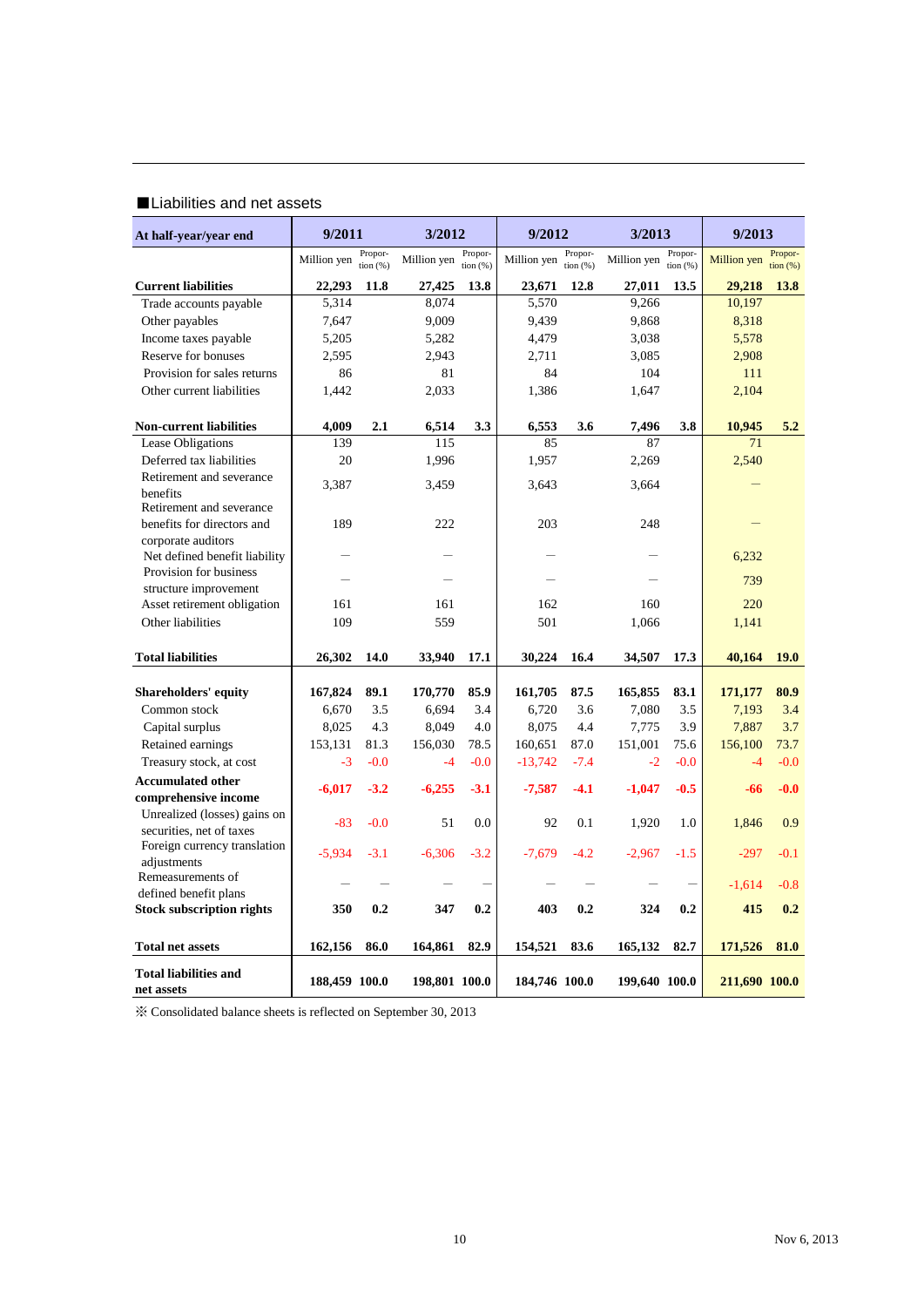### ■Liabilities and net assets

| At half-year/year end                                    | 9/2011        |                        | 3/2012        |                       | 9/2012        |                       | 3/2013        |                        | 9/2013        |                     |  |  |     |  |
|----------------------------------------------------------|---------------|------------------------|---------------|-----------------------|---------------|-----------------------|---------------|------------------------|---------------|---------------------|--|--|-----|--|
|                                                          | Million yen   | Propor-<br>tion $(% )$ | Million yen   | Propor-<br>tion $(%)$ | Million yen   | Propor-<br>tion $(%)$ | Million yen   | Propor-<br>tion $(% )$ | Million yen   | Propor-<br>tion (%) |  |  |     |  |
| <b>Current liabilities</b>                               | 22,293        | 11.8                   | 27,425        | 13.8                  | 23,671        | 12.8                  | 27,011        | 13.5                   | 29,218        | <b>13.8</b>         |  |  |     |  |
| Trade accounts payable                                   | 5,314         |                        | 8,074         |                       | 5,570         |                       | 9,266         |                        | 10,197        |                     |  |  |     |  |
| Other payables                                           | 7,647         |                        | 9,009         |                       | 9,439         |                       | 9,868         |                        | 8,318         |                     |  |  |     |  |
| Income taxes payable                                     | 5,205         |                        | 5,282         |                       | 4,479         |                       | 3,038         |                        | 5,578         |                     |  |  |     |  |
| Reserve for bonuses                                      | 2,595         |                        | 2,943         |                       | 2,711         |                       | 3,085         |                        | 2,908         |                     |  |  |     |  |
| Provision for sales returns                              | 86            |                        | 81            |                       | 84            |                       | 104           |                        | 111           |                     |  |  |     |  |
| Other current liabilities                                | 1,442         |                        | 2,033         |                       | 1,386         |                       | 1,647         |                        | 2,104         |                     |  |  |     |  |
| <b>Non-current liabilities</b>                           | 4,009         | 2.1                    | 6,514         | 3.3                   | 6,553         | 3.6                   | 7,496         | 3.8                    | 10,945        | 5.2                 |  |  |     |  |
| Lease Obligations                                        | 139           |                        | 115           |                       | 85            |                       | 87            |                        | 71            |                     |  |  |     |  |
| Deferred tax liabilities                                 | 20            |                        | 1,996         |                       | 1,957         |                       | 2,269         |                        | 2,540         |                     |  |  |     |  |
| Retirement and severance<br>benefits                     | 3,387         |                        | 3.459         |                       | 3,643         |                       | 3,664         |                        |               |                     |  |  |     |  |
| Retirement and severance<br>benefits for directors and   | 189           |                        | 222           |                       | 203           |                       | 248           |                        |               |                     |  |  |     |  |
| corporate auditors<br>Net defined benefit liability      |               |                        | -             |                       |               |                       |               |                        | 6,232         |                     |  |  |     |  |
| Provision for business                                   |               |                        |               |                       |               |                       |               |                        |               |                     |  |  | 739 |  |
| structure improvement<br>Asset retirement obligation     | 161           |                        | 161           |                       | 162           |                       |               |                        |               | 160                 |  |  |     |  |
| Other liabilities                                        | 109           |                        | 559           |                       | 501           |                       | 1,066         |                        |               |                     |  |  |     |  |
|                                                          |               |                        |               |                       |               |                       |               |                        |               |                     |  |  |     |  |
| <b>Total liabilities</b>                                 | 26,302        | 14.0                   | 33,940        | 17.1                  | 30,224        | 16.4                  | 34,507        | 17.3                   | 40,164        | 19.0                |  |  |     |  |
| Shareholders' equity                                     | 167,824       | 89.1                   | 170,770       | 85.9                  | 161,705       | 87.5                  | 165,855       | 83.1                   | 171,177       | 80.9                |  |  |     |  |
| Common stock                                             | 6,670         | 3.5                    | 6,694         | 3.4                   | 6,720         | 3.6                   | 7,080         | 3.5                    | 7,193         | 3.4                 |  |  |     |  |
| Capital surplus                                          | 8,025         | 4.3                    | 8,049         | 4.0                   | 8,075         | 4.4                   | 7,775         | 3.9                    | 7,887         | 3.7                 |  |  |     |  |
| Retained earnings                                        | 153,131       | 81.3                   | 156,030       | 78.5                  | 160,651       | 87.0                  | 151,001       | 75.6                   | 156,100       | 73.7                |  |  |     |  |
| Treasury stock, at cost                                  | $-3$          | $-0.0$                 | $-4$          | $-0.0$                | $-13,742$     | $-7.4$                | $-2$          | $-0.0$                 | $-4$          | $-0.0$              |  |  |     |  |
| <b>Accumulated other</b>                                 |               |                        |               |                       |               |                       |               |                        |               |                     |  |  |     |  |
| comprehensive income                                     | $-6,017$      | $-3.2$                 | $-6.255$      | $-3.1$                | $-7,587$      | $-4.1$                | $-1,047$      | $-0.5$                 | -66           | $-0.0$              |  |  |     |  |
| Unrealized (losses) gains on<br>securities, net of taxes | $-83$         | $-0.0$                 | 51            | 0.0                   | 92            | 0.1                   | 1,920         | 1.0                    | 1,846         | 0.9                 |  |  |     |  |
| Foreign currency translation<br>adjustments              | $-5,934$      | $-3.1$                 | $-6,306$      | $-3.2$                | $-7,679$      | $-4.2$                | $-2,967$      | $-1.5$                 | $-297$        | $-0.1$              |  |  |     |  |
| Remeasurements of<br>defined benefit plans               |               |                        |               |                       |               |                       |               |                        | $-1.614$      | $-0.8$              |  |  |     |  |
| <b>Stock subscription rights</b>                         | 350           | 0.2                    | 347           | 0.2                   | 403           | 0.2                   | 324           | 0.2                    | 415           | 0.2                 |  |  |     |  |
| <b>Total net assets</b>                                  | 162,156       | 86.0                   | 164,861       | 82.9                  | 154,521       | 83.6                  | 165,132       | 82.7                   | 171,526       | 81.0                |  |  |     |  |
| <b>Total liabilities and</b><br>net assets               | 188,459 100.0 |                        | 198,801 100.0 |                       | 184,746 100.0 |                       | 199,640 100.0 |                        | 211,690 100.0 |                     |  |  |     |  |

※ Consolidated balance sheets is reflected on September 30, 2013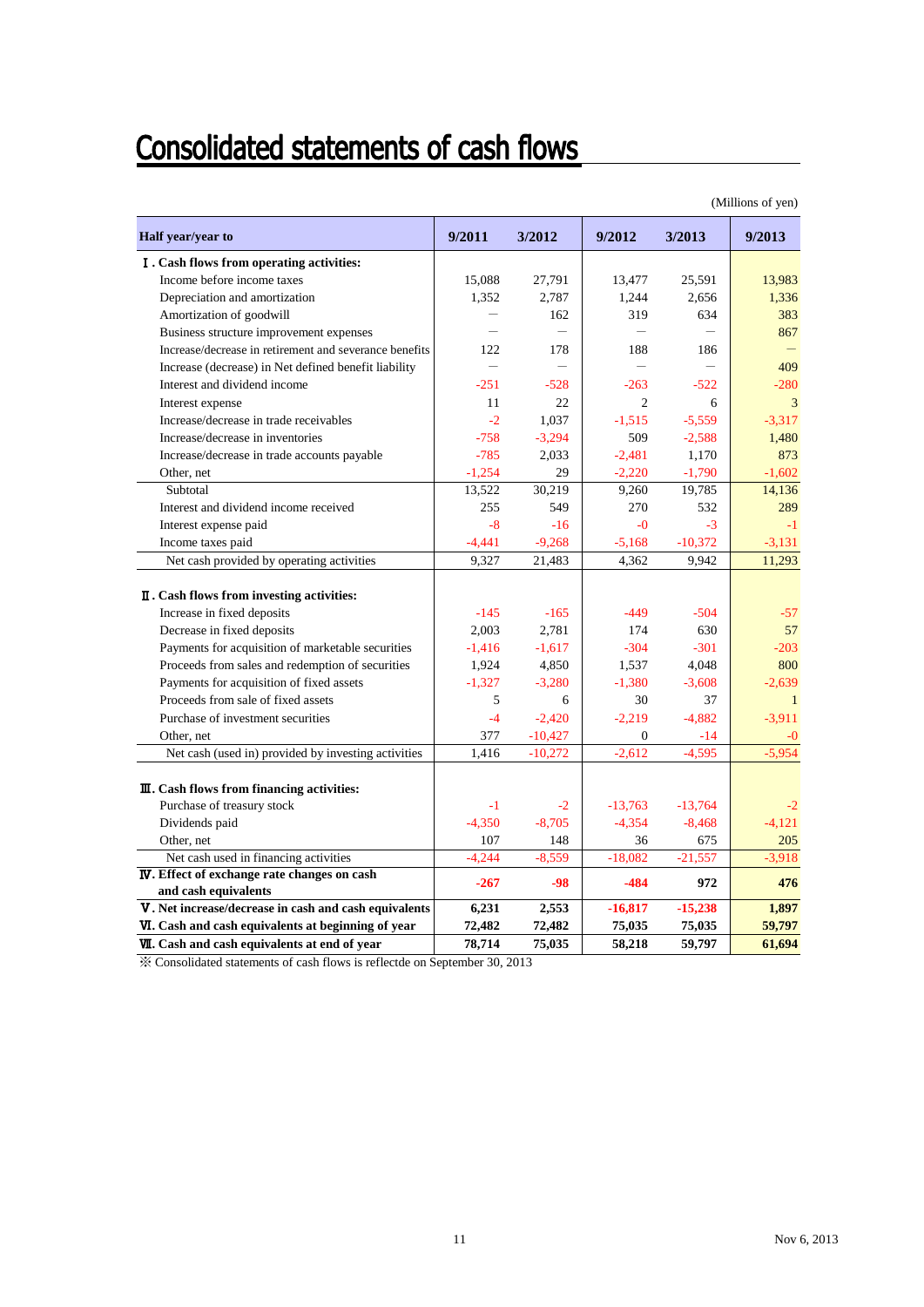## **Consolidated statements of cash flows**

|                                                        |          |           |                          |           | (Millions of yen) |
|--------------------------------------------------------|----------|-----------|--------------------------|-----------|-------------------|
| Half year/year to                                      | 9/2011   | 3/2012    | 9/2012                   | 3/2013    | 9/2013            |
| I. Cash flows from operating activities:               |          |           |                          |           |                   |
| Income before income taxes                             | 15,088   | 27,791    | 13,477                   | 25,591    | 13,983            |
| Depreciation and amortization                          | 1.352    | 2.787     | 1,244                    | 2.656     | 1.336             |
| Amortization of goodwill                               |          | 162       | 319                      | 634       | 383               |
| Business structure improvement expenses                |          |           | $\overline{\phantom{0}}$ |           | 867               |
| Increase/decrease in retirement and severance benefits | 122      | 178       | 188                      | 186       |                   |
| Increase (decrease) in Net defined benefit liability   |          |           |                          |           | 409               |
| Interest and dividend income                           | $-251$   | $-528$    | $-263$                   | $-522$    | $-280$            |
| Interest expense                                       | 11       | 22        | $\overline{c}$           | 6         | 3                 |
| Increase/decrease in trade receivables                 | $-2$     | 1,037     | $-1,515$                 | $-5,559$  | $-3,317$          |
| Increase/decrease in inventories                       | $-758$   | $-3,294$  | 509                      | $-2,588$  | 1,480             |
| Increase/decrease in trade accounts payable            | $-785$   | 2,033     | $-2,481$                 | 1,170     | 873               |
| Other, net                                             | $-1,254$ | 29        | $-2,220$                 | $-1,790$  | $-1,602$          |
| Subtotal                                               | 13,522   | 30,219    | 9,260                    | 19,785    | 14,136            |
| Interest and dividend income received                  | 255      | 549       | 270                      | 532       | 289               |
| Interest expense paid                                  | $-8$     | $-16$     | $-0$                     | $-3$      | $-1$              |
| Income taxes paid                                      | $-4,441$ | $-9.268$  | $-5,168$                 | $-10,372$ | $-3,131$          |
| Net cash provided by operating activities              | 9,327    | 21,483    | 4,362                    | 9.942     | 11,293            |
| II. Cash flows from investing activities:              |          |           |                          |           |                   |
| Increase in fixed deposits                             | $-145$   | $-165$    | $-449$                   | $-504$    | $-57$             |
| Decrease in fixed deposits                             | 2,003    | 2,781     | 174                      | 630       | 57                |
| Payments for acquisition of marketable securities      | $-1,416$ | $-1,617$  | $-304$                   | $-301$    | $-203$            |
| Proceeds from sales and redemption of securities       | 1,924    | 4,850     | 1,537                    | 4,048     | 800               |
| Payments for acquisition of fixed assets               | $-1,327$ | $-3,280$  | $-1,380$                 | $-3,608$  | $-2.639$          |
| Proceeds from sale of fixed assets                     | 5        | 6         | 30                       | 37        | $\mathbf{1}$      |
| Purchase of investment securities                      | $-4$     | $-2,420$  | $-2,219$                 | $-4,882$  | $-3.911$          |
| Other, net                                             | 377      | $-10,427$ | $\Omega$                 | $-14$     | $-0$              |
| Net cash (used in) provided by investing activities    | 1,416    | $-10,272$ | $-2,612$                 | $-4,595$  | $-5,954$          |
| III. Cash flows from financing activities:             |          |           |                          |           |                   |
| Purchase of treasury stock                             | $-1$     | $-2$      | $-13,763$                | $-13,764$ | $-2$              |
| Dividends paid                                         | $-4,350$ | $-8,705$  | $-4,354$                 | $-8,468$  | $-4,121$          |
| Other, net                                             | 107      | 148       | 36                       | 675       | 205               |
| Net cash used in financing activities                  | $-4,244$ | $-8,559$  | $-18,082$                | $-21,557$ | $-3,918$          |
| <b>IV.</b> Effect of exchange rate changes on cash     | $-267$   | $-98$     | $-484$                   | 972       | 476               |
| and cash equivalents                                   |          |           |                          |           |                   |
| V. Net increase/decrease in cash and cash equivalents  | 6,231    | 2,553     | $-16,817$                | $-15,238$ | 1,897             |
| VI. Cash and cash equivalents at beginning of year     | 72,482   | 72,482    | 75,035                   | 75,035    | 59,797            |
| <b>VII.</b> Cash and cash equivalents at end of year   | 78,714   | 75,035    | 58,218                   | 59,797    | 61,694            |

※ Consolidated statements of cash flows is reflectde on September 30, 2013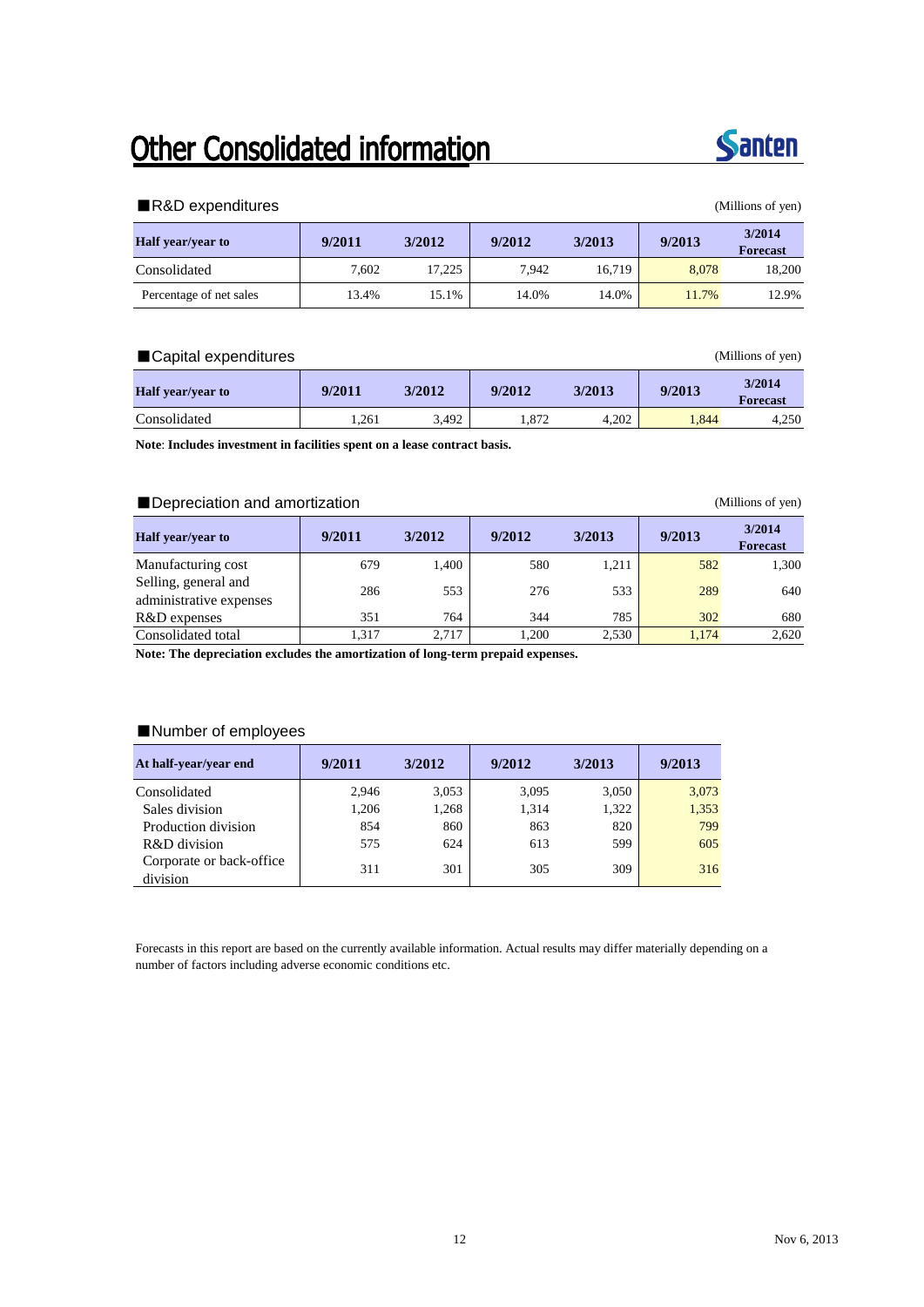## Other Consolidated information



### ■R&D expenditures (Millions of yen)

| <b>Half</b> year/year to | 9/2011 | 3/2012 | 9/2012 | 3/2013 | 9/2013 | 3/2014<br><b>Forecast</b> |
|--------------------------|--------|--------|--------|--------|--------|---------------------------|
| Consolidated             | 7.602  | 17.225 | 7.942  | 16.719 | 8.078  | 18,200                    |
| Percentage of net sales  | 13.4%  | 15.1%  | 14.0%  | 14.0%  | 11.7%  | 12.9%                     |

### ■Capital expenditures (Millions of yen)

| <b>Half</b> year/year to | 9/2011 | 3/2012 | 9/2012 | 3/2013 | 9/2013 | 3/2014<br><b>Forecast</b> |
|--------------------------|--------|--------|--------|--------|--------|---------------------------|
| Consolidated             | .261   | 3.492  | 1.872  | 4.202  | .844   | 4,250                     |

**Note**: **Includes investment in facilities spent on a lease contract basis.**

### ■Depreciation and amortization (Millions of yen)

| <b>Half</b> year/year to                        | 9/2011 | 3/2012 | 9/2012 | 3/2013 | 9/2013 | 3/2014<br><b>Forecast</b> |
|-------------------------------------------------|--------|--------|--------|--------|--------|---------------------------|
| Manufacturing cost                              | 679    | 1.400  | 580    | 1.211  | 582    | 1,300                     |
| Selling, general and<br>administrative expenses | 286    | 553    | 276    | 533    | 289    | 640                       |
| R&D expenses                                    | 351    | 764    | 344    | 785    | 302    | 680                       |
| Consolidated total                              | 1.317  | 2.717  | 1.200  | 2,530  | 1.174  | 2,620                     |

**Note: The depreciation excludes the amortization of long-term prepaid expenses.**

### ■Number of employees

| At half-year/year end                | 9/2011 | 3/2012 | 9/2012 | 3/2013 | 9/2013 |
|--------------------------------------|--------|--------|--------|--------|--------|
| Consolidated                         | 2.946  | 3,053  | 3.095  | 3,050  | 3,073  |
| Sales division                       | 1,206  | 1,268  | 1.314  | 1,322  | 1,353  |
| Production division                  | 854    | 860    | 863    | 820    | 799    |
| R&D division                         | 575    | 624    | 613    | 599    | 605    |
| Corporate or back-office<br>division | 311    | 301    | 305    | 309    | 316    |

Forecasts in this report are based on the currently available information. Actual results may differ materially depending on a number of factors including adverse economic conditions etc.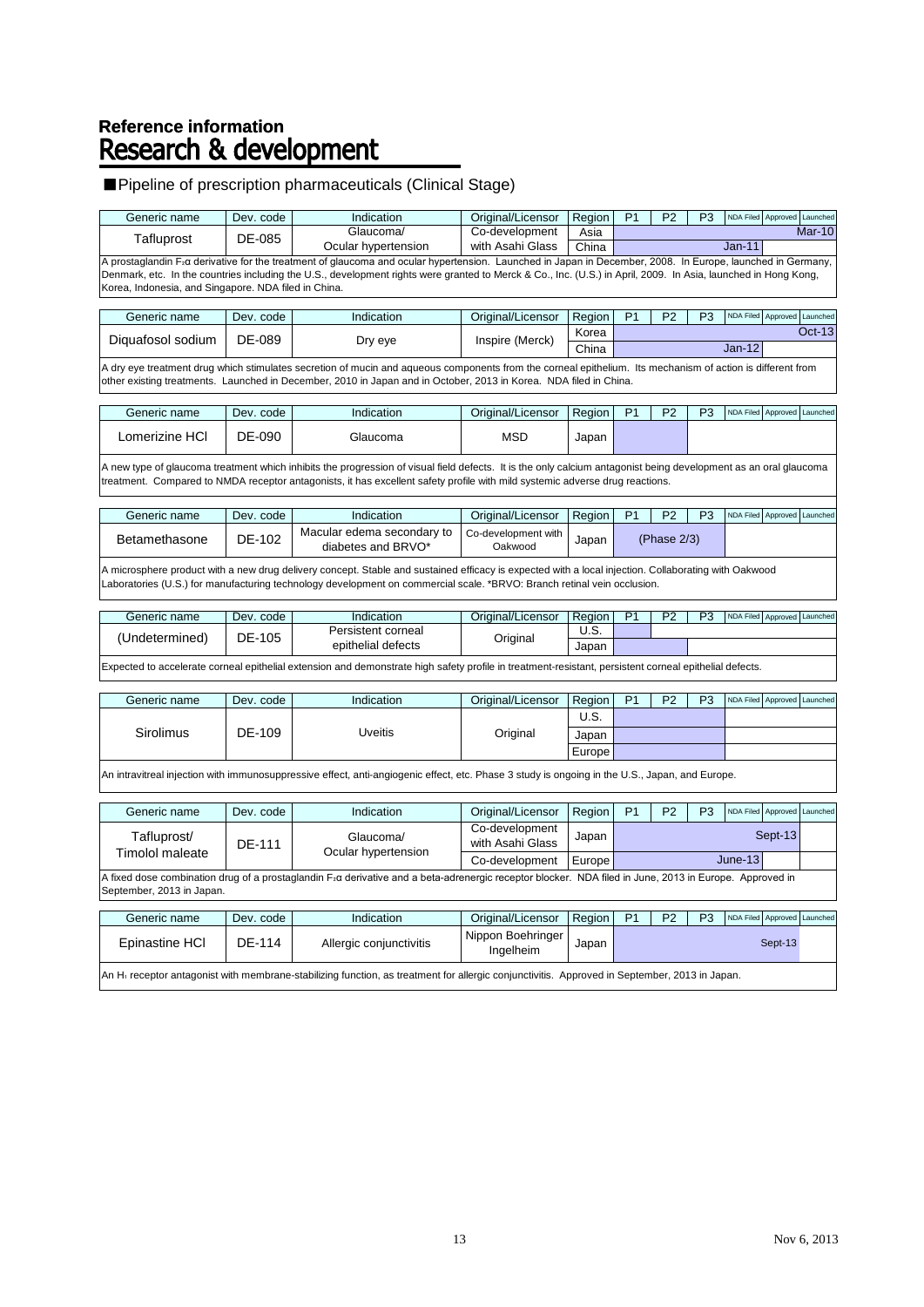## Reference information<br>Research & development

### ■Pipeline of prescription pharmaceuticals (Clinical Stage)

| Generic name                                                                                                                                                                                                                                                                    | Dev. code | Indication                                                                                                                                                                                                                                                                                       | Original/Licensor                  | Region | P <sub>1</sub> | P <sub>2</sub> | P <sub>3</sub> | NDA Filed Approved Launched |               |  |
|---------------------------------------------------------------------------------------------------------------------------------------------------------------------------------------------------------------------------------------------------------------------------------|-----------|--------------------------------------------------------------------------------------------------------------------------------------------------------------------------------------------------------------------------------------------------------------------------------------------------|------------------------------------|--------|----------------|----------------|----------------|-----------------------------|---------------|--|
| Tafluprost                                                                                                                                                                                                                                                                      | DE-085    | Glaucoma/                                                                                                                                                                                                                                                                                        | Co-development                     | Asia   |                |                |                |                             | $Mar-10$      |  |
|                                                                                                                                                                                                                                                                                 |           | Ocular hypertension<br>A prostaglandin F <sub>2</sub> α derivative for the treatment of glaucoma and ocular hypertension. Launched in Japan in December, 2008. In Europe, launched in Germany,                                                                                                   | with Asahi Glass                   | China  |                |                |                | <b>Jan-11</b>               |               |  |
| Korea, Indonesia, and Singapore. NDA filed in China.                                                                                                                                                                                                                            |           | Denmark, etc. In the countries including the U.S., development rights were granted to Merck & Co., Inc. (U.S.) in April, 2009. In Asia, launched in Hong Kong,                                                                                                                                   |                                    |        |                |                |                |                             |               |  |
| Generic name                                                                                                                                                                                                                                                                    | Dev. code | Indication                                                                                                                                                                                                                                                                                       | Original/Licensor                  | Region | P <sub>1</sub> | P <sub>2</sub> | P <sub>3</sub> | NDA Filed Approved          | Launched      |  |
| Diquafosol sodium                                                                                                                                                                                                                                                               | DE-089    | Dry eye                                                                                                                                                                                                                                                                                          | Inspire (Merck)                    | Korea  |                |                |                |                             | <b>Oct-13</b> |  |
|                                                                                                                                                                                                                                                                                 |           |                                                                                                                                                                                                                                                                                                  |                                    | China  |                |                |                | $Jan-12$                    |               |  |
| A dry eye treatment drug which stimulates secretion of mucin and aqueous components from the corneal epithelium. Its mechanism of action is different from<br>other existing treatments. Launched in December, 2010 in Japan and in October, 2013 in Korea. NDA filed in China. |           |                                                                                                                                                                                                                                                                                                  |                                    |        |                |                |                |                             |               |  |
| Generic name                                                                                                                                                                                                                                                                    | Dev. code | Indication                                                                                                                                                                                                                                                                                       | Original/Licensor                  | Region | P <sub>1</sub> | P <sub>2</sub> | P <sub>3</sub> | NDA Filed Approved Launched |               |  |
| Lomerizine HCI                                                                                                                                                                                                                                                                  | DE-090    | Glaucoma                                                                                                                                                                                                                                                                                         | <b>MSD</b>                         | Japan  |                |                |                |                             |               |  |
|                                                                                                                                                                                                                                                                                 |           | A new type of glaucoma treatment which inhibits the progression of visual field defects. It is the only calcium antagonist being development as an oral glaucoma<br>treatment. Compared to NMDA receptor antagonists, it has excellent safety profile with mild systemic adverse drug reactions. |                                    |        |                |                |                |                             |               |  |
| Generic name                                                                                                                                                                                                                                                                    | Dev. code | Indication                                                                                                                                                                                                                                                                                       | Original/Licensor                  | Region | P <sub>1</sub> | P <sub>2</sub> | P <sub>3</sub> | NDA Filed Approved Launched |               |  |
| Betamethasone                                                                                                                                                                                                                                                                   | DE-102    | Macular edema secondary to<br>diabetes and BRVO*                                                                                                                                                                                                                                                 | Co-development with<br>Oakwood     | Japan  |                | (Phase 2/3)    |                |                             |               |  |
|                                                                                                                                                                                                                                                                                 |           | A microsphere product with a new drug delivery concept. Stable and sustained efficacy is expected with a local injection. Collaborating with Oakwood<br>Laboratories (U.S.) for manufacturing technology development on commercial scale. *BRVO: Branch retinal vein occlusion.                  |                                    |        |                |                |                |                             |               |  |
| Generic name                                                                                                                                                                                                                                                                    | Dev. code | Indication                                                                                                                                                                                                                                                                                       | Original/Licensor                  | Region | P <sub>1</sub> | P <sub>2</sub> | P <sub>3</sub> | NDA Filed Approved Launched |               |  |
| (Undetermined)                                                                                                                                                                                                                                                                  | DE-105    | Persistent corneal                                                                                                                                                                                                                                                                               | Original                           | U.S.   |                |                |                |                             |               |  |
|                                                                                                                                                                                                                                                                                 |           | epithelial defects                                                                                                                                                                                                                                                                               |                                    | Japan  |                |                |                |                             |               |  |
|                                                                                                                                                                                                                                                                                 |           | Expected to accelerate corneal epithelial extension and demonstrate high safety profile in treatment-resistant, persistent corneal epithelial defects.                                                                                                                                           |                                    |        |                |                |                |                             |               |  |
| Generic name                                                                                                                                                                                                                                                                    | Dev. code | Indication                                                                                                                                                                                                                                                                                       | Original/Licensor                  | Region | P <sub>1</sub> | P <sub>2</sub> | P <sub>3</sub> | NDA Filed Approved Launched |               |  |
|                                                                                                                                                                                                                                                                                 |           |                                                                                                                                                                                                                                                                                                  |                                    | U.S.   |                |                |                |                             |               |  |
| Sirolimus                                                                                                                                                                                                                                                                       | DE-109    | <b>Uveitis</b>                                                                                                                                                                                                                                                                                   | Original                           | Japan  |                |                |                |                             |               |  |
|                                                                                                                                                                                                                                                                                 |           |                                                                                                                                                                                                                                                                                                  |                                    | Europe |                |                |                |                             |               |  |
|                                                                                                                                                                                                                                                                                 |           | An intravitreal injection with immunosuppressive effect, anti-angiogenic effect, etc. Phase 3 study is ongoing in the U.S., Japan, and Europe.                                                                                                                                                   |                                    |        |                |                |                |                             |               |  |
| Generic name                                                                                                                                                                                                                                                                    | Dev. code | Indication                                                                                                                                                                                                                                                                                       | Original/Licensor                  | Region | P <sub>1</sub> | P <sub>2</sub> | P <sub>3</sub> | NDA Filed Approved Launched |               |  |
| Tafluprost/                                                                                                                                                                                                                                                                     | DE-111    | Glaucoma/                                                                                                                                                                                                                                                                                        | Co-development<br>with Asahi Glass | Japan  |                |                |                | Sept-13                     |               |  |
| Timolol maleate                                                                                                                                                                                                                                                                 |           | Ocular hypertension                                                                                                                                                                                                                                                                              | Co-development                     | Europe |                |                |                | June-13                     |               |  |
| September, 2013 in Japan.                                                                                                                                                                                                                                                       |           | A fixed dose combination drug of a prostaglandin F <sub>2</sub> a derivative and a beta-adrenergic receptor blocker. NDA filed in June, 2013 in Europe. Approved in                                                                                                                              |                                    |        |                |                |                |                             |               |  |
| Generic name                                                                                                                                                                                                                                                                    | Dev. code | Indication                                                                                                                                                                                                                                                                                       | Original/Licensor                  | Region | P <sub>1</sub> | P <sub>2</sub> | P <sub>3</sub> | NDA Filed Approved Launched |               |  |
| Epinastine HCI                                                                                                                                                                                                                                                                  | DE-114    | Allergic conjunctivitis                                                                                                                                                                                                                                                                          | Nippon Boehringer<br>Ingelheim     | Japan  | Sept-13        |                |                |                             |               |  |
| An H <sub>1</sub> receptor antagonist with membrane-stabilizing function, as treatment for allergic conjunctivitis. Approved in September, 2013 in Japan.                                                                                                                       |           |                                                                                                                                                                                                                                                                                                  |                                    |        |                |                |                |                             |               |  |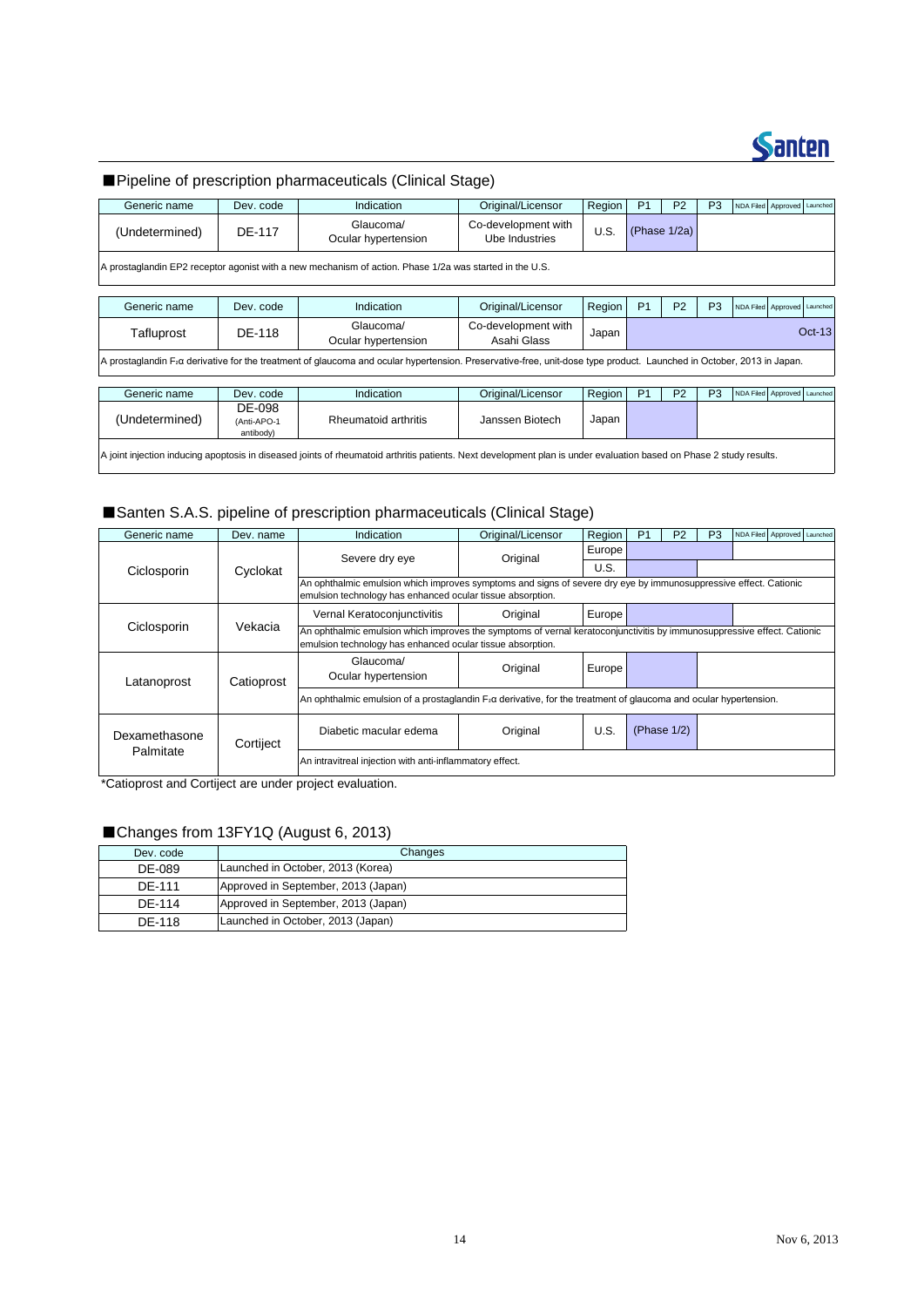

### ■Pipeline of prescription pharmaceuticals (Clinical Stage)

| Generic name   | Dev. code                                                                                                                                                           | Indication                                                                                                                                                                        | Original/Licensor                     | Region | P <sub>1</sub> | P <sub>2</sub>  | P <sub>3</sub> |  | NDA Filed Approved Launched |          |
|----------------|---------------------------------------------------------------------------------------------------------------------------------------------------------------------|-----------------------------------------------------------------------------------------------------------------------------------------------------------------------------------|---------------------------------------|--------|----------------|-----------------|----------------|--|-----------------------------|----------|
| (Undetermined) | DE-117                                                                                                                                                              | Glaucoma/<br>Ocular hypertension                                                                                                                                                  | Co-development with<br>Ube Industries | U.S.   |                | (Phase $1/2a$ ) |                |  |                             |          |
|                |                                                                                                                                                                     | A prostaglandin EP2 receptor agonist with a new mechanism of action. Phase 1/2a was started in the U.S.                                                                           |                                       |        |                |                 |                |  |                             |          |
| Generic name   | Dev. code                                                                                                                                                           | Indication                                                                                                                                                                        | Original/Licensor                     | Region | P <sub>1</sub> | P <sub>2</sub>  | P <sub>3</sub> |  | NDA Filed Approved Launched |          |
| Tafluprost     | DE-118                                                                                                                                                              | Glaucoma/<br>Ocular hypertension                                                                                                                                                  | Co-development with<br>Asahi Glass    | Japan  |                |                 |                |  |                             | $Oct-13$ |
|                |                                                                                                                                                                     | A prostaglandin F <sub>2</sub> a derivative for the treatment of glaucoma and ocular hypertension. Preservative-free, unit-dose type product. Launched in October, 2013 in Japan. |                                       |        |                |                 |                |  |                             |          |
| Generic name   | Dev. code                                                                                                                                                           | Indication                                                                                                                                                                        | Original/Licensor                     | Region | P <sub>1</sub> | P <sub>2</sub>  | P <sub>3</sub> |  | NDA Filed Approved Launched |          |
| (Undetermined) | DE-098<br>(Anti-APO-1<br>antibody)                                                                                                                                  | Rheumatoid arthritis                                                                                                                                                              | Janssen Biotech                       | Japan  |                |                 |                |  |                             |          |
|                | A joint injection inducing apoptosis in diseased joints of rheumatoid arthritis patients. Next development plan is under evaluation based on Phase 2 study results. |                                                                                                                                                                                   |                                       |        |                |                 |                |  |                             |          |

## ■Santen S.A.S. pipeline of prescription pharmaceuticals (Clinical Stage) Santen S.A.S.<br>Santen S.A.S.<br>Generic name

| Generic name   | Dev. code                          | Indication                                                                                                                                                                            | Original/Licensor | Region | P <sub>1</sub> | P <sub>2</sub> | P <sub>3</sub> |  | NDA Filed Approved Launched |  |
|----------------|------------------------------------|---------------------------------------------------------------------------------------------------------------------------------------------------------------------------------------|-------------------|--------|----------------|----------------|----------------|--|-----------------------------|--|
| (Undetermined) | DE-098<br>(Anti-APO-1<br>antibody) | Rheumatoid arthritis                                                                                                                                                                  | Janssen Biotech   | Japan  |                |                |                |  |                             |  |
|                |                                    | A joint injection inducing apoptosis in diseased joints of rheumatoid arthritis patients. Next development plan is under evaluation based on Phase 2 study results.                   |                   |        |                |                |                |  |                             |  |
|                |                                    |                                                                                                                                                                                       |                   |        |                |                |                |  |                             |  |
|                |                                    | Santen S.A.S. pipeline of prescription pharmaceuticals (Clinical Stage)                                                                                                               |                   |        |                |                |                |  |                             |  |
| Generic name   | Dev. name                          | Indication                                                                                                                                                                            | Original/Licensor | Region | <b>P1</b>      | P <sub>2</sub> | P <sub>3</sub> |  | NDA Filed Approved Launched |  |
|                |                                    | Severe dry eye                                                                                                                                                                        | Original          | Europe |                |                |                |  |                             |  |
| Ciclosporin    | Cyclokat                           |                                                                                                                                                                                       |                   | U.S.   |                |                |                |  |                             |  |
|                |                                    | An ophthalmic emulsion which improves symptoms and signs of severe dry eye by immunosuppressive effect. Cationic<br>emulsion technology has enhanced ocular tissue absorption.        |                   |        |                |                |                |  |                             |  |
|                |                                    | Vernal Keratoconjunctivitis                                                                                                                                                           | Original          | Europe |                |                |                |  |                             |  |
| Ciclosporin    | Vekacia                            | An ophthalmic emulsion which improves the symptoms of vernal keratoconjunctivitis by immunosuppressive effect. Cationic<br>emulsion technology has enhanced ocular tissue absorption. |                   |        |                |                |                |  |                             |  |
| Latanoprost    | Catioprost                         | Glaucoma/<br>Ocular hypertension                                                                                                                                                      | Original          | Europe |                |                |                |  |                             |  |
|                |                                    | An ophthalmic emulsion of a prostaglandin $F_2\alpha$ derivative, for the treatment of glaucoma and ocular hypertension.                                                              |                   |        |                |                |                |  |                             |  |
| Dexamethasone  | Cortiject                          | Diabetic macular edema                                                                                                                                                                | Original          | U.S.   |                | (Phase $1/2$ ) |                |  |                             |  |
| Palmitate      |                                    | An intravitreal injection with anti-inflammatory effect.                                                                                                                              |                   |        |                |                |                |  |                             |  |

\*Catioprost and Cortiject are under project evaluation.

### ■Changes from 13FY1Q (August 6, 2013)

| Dev. code | Changes                             |
|-----------|-------------------------------------|
| DE-089    | Launched in October, 2013 (Korea)   |
| DF-111    | Approved in September, 2013 (Japan) |
| DF-114    | Approved in September, 2013 (Japan) |
| DF-118    | Launched in October, 2013 (Japan)   |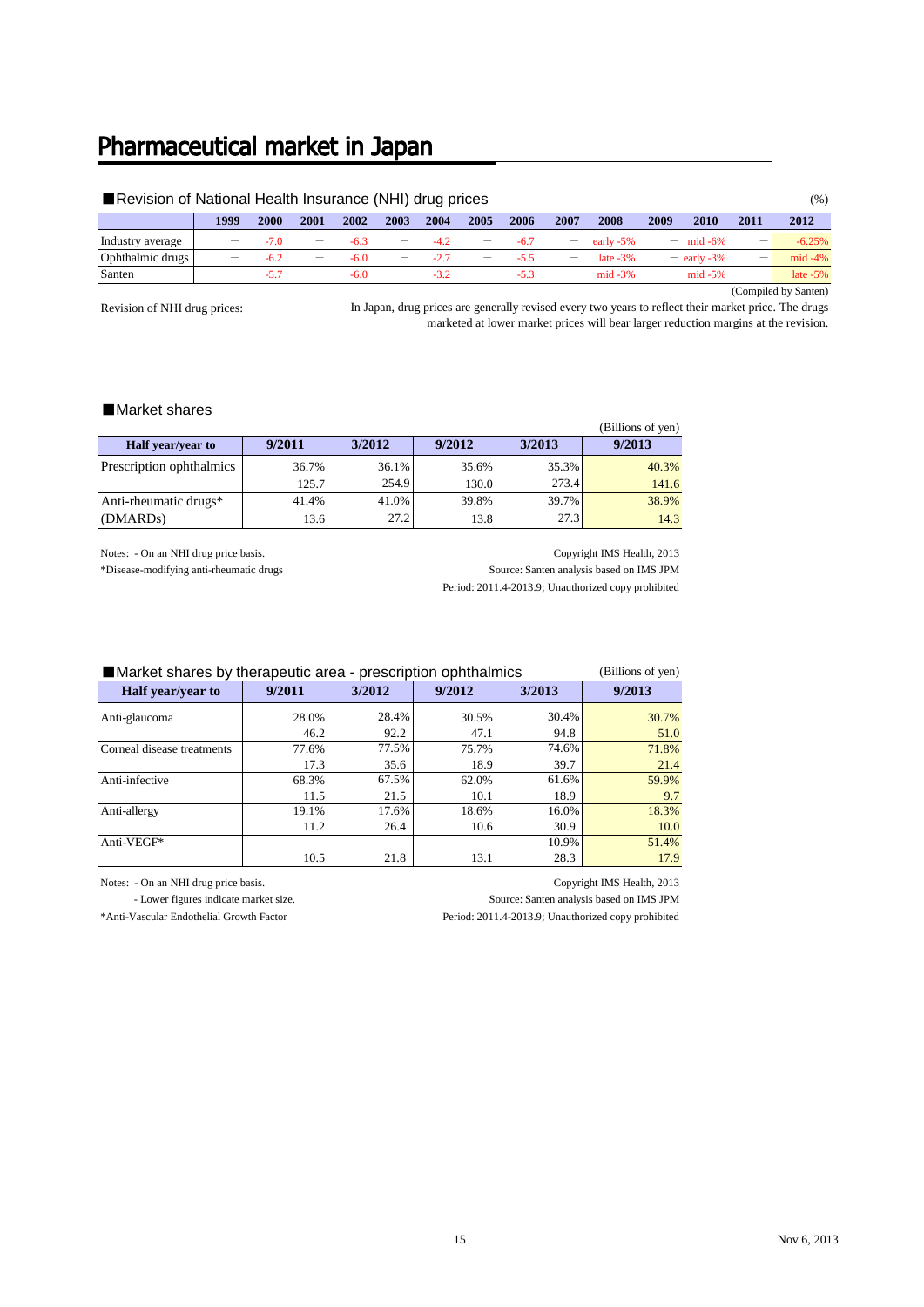### Pharmaceutical market in Japan

### ■ Revision of National Health Insurance (NHI) drug prices (%)

|                  | 1999 | 2000 | 2001              | 2002   | 2003 | 2004 | 2005 | 2006   | 2007              | 2008       | 2009                     | 2010          | 2011                            | 2012        |
|------------------|------|------|-------------------|--------|------|------|------|--------|-------------------|------------|--------------------------|---------------|---------------------------------|-------------|
| Industry average |      |      | $\qquad \qquad -$ | -6.3   |      |      |      | -6.    | $\qquad \qquad -$ | early -5%  | $\overline{\phantom{0}}$ | mid $-6\%$    |                                 | $-6.25%$    |
| Ophthalmic drugs |      | -6.2 | $\qquad \qquad -$ | $-6.0$ |      |      | -    | -5     |                   | late $-3%$ |                          | $-$ early -3% |                                 | $mid -4%$   |
| Santen           |      |      | $\qquad \qquad -$ | $-6.0$ |      |      |      | $\sim$ | $\qquad \qquad -$ | $mid -3%$  | $\overline{\phantom{0}}$ | mid $-5\%$    | $\hspace{0.1mm}-\hspace{0.1mm}$ | late $-5\%$ |

(Compiled by Santen)

Revision of NHI drug prices:

In Japan, drug prices are generally revised every two years to reflect their market price. The drugs marketed at lower market prices will bear larger reduction margins at the revision.

### ■Market shares

|                          |        |        |        |        | (Billions of yen) |
|--------------------------|--------|--------|--------|--------|-------------------|
| Half year/year to        | 9/2011 | 3/2012 | 9/2012 | 3/2013 | 9/2013            |
| Prescription ophthalmics | 36.7%  | 36.1%  | 35.6%  | 35.3%  | 40.3%             |
|                          | 125.7  | 254.9  | 130.0  | 273.4  | 141.6             |
| Anti-rheumatic drugs*    | 41.4%  | 41.0%  | 39.8%  | 39.7%  | 38.9%             |
| (DMARD <sub>s</sub> )    | 13.6   | 27.2   | 13.8   | 27.3   | 14.3              |

Notes: - On an NHI drug price basis. Copyright IMS Health, 2013 \*Disease-modifying anti-rheumatic drugs Source: Santen analysis based on IMS JPM

Period: 2011.4-2013.9; Unauthorized copy prohibited

| Market shares by therapeutic area - prescription ophthalmics |        |        |        |        |        |  |  |  |  |
|--------------------------------------------------------------|--------|--------|--------|--------|--------|--|--|--|--|
| <b>Half</b> year/year to                                     | 9/2011 | 3/2012 | 9/2012 | 3/2013 | 9/2013 |  |  |  |  |
| Anti-glaucoma                                                | 28.0%  | 28.4%  | 30.5%  | 30.4%  | 30.7%  |  |  |  |  |
|                                                              | 46.2   | 92.2   | 47.1   | 94.8   | 51.0   |  |  |  |  |
| Corneal disease treatments                                   | 77.6%  | 77.5%  | 75.7%  | 74.6%  | 71.8%  |  |  |  |  |
|                                                              | 17.3   | 35.6   | 18.9   | 39.7   | 21.4   |  |  |  |  |
| Anti-infective                                               | 68.3%  | 67.5%  | 62.0%  | 61.6%  | 59.9%  |  |  |  |  |
|                                                              | 11.5   | 21.5   | 10.1   | 18.9   | 9.7    |  |  |  |  |
| Anti-allergy                                                 | 19.1%  | 17.6%  | 18.6%  | 16.0%  | 18.3%  |  |  |  |  |
|                                                              | 11.2   | 26.4   | 10.6   | 30.9   | 10.0   |  |  |  |  |
| Anti-VEGF*                                                   |        |        |        | 10.9%  | 51.4%  |  |  |  |  |
|                                                              | 10.5   | 21.8   | 13.1   | 28.3   | 17.9   |  |  |  |  |

Notes: - On an NHI drug price basis. Copyright IMS Health, 2013

- Lower figures indicate market size.

\*Anti-Vascular Endothelial Growth Factor

Source: Santen analysis based on IMS JPM

Period: 2011.4-2013.9; Unauthorized copy prohibited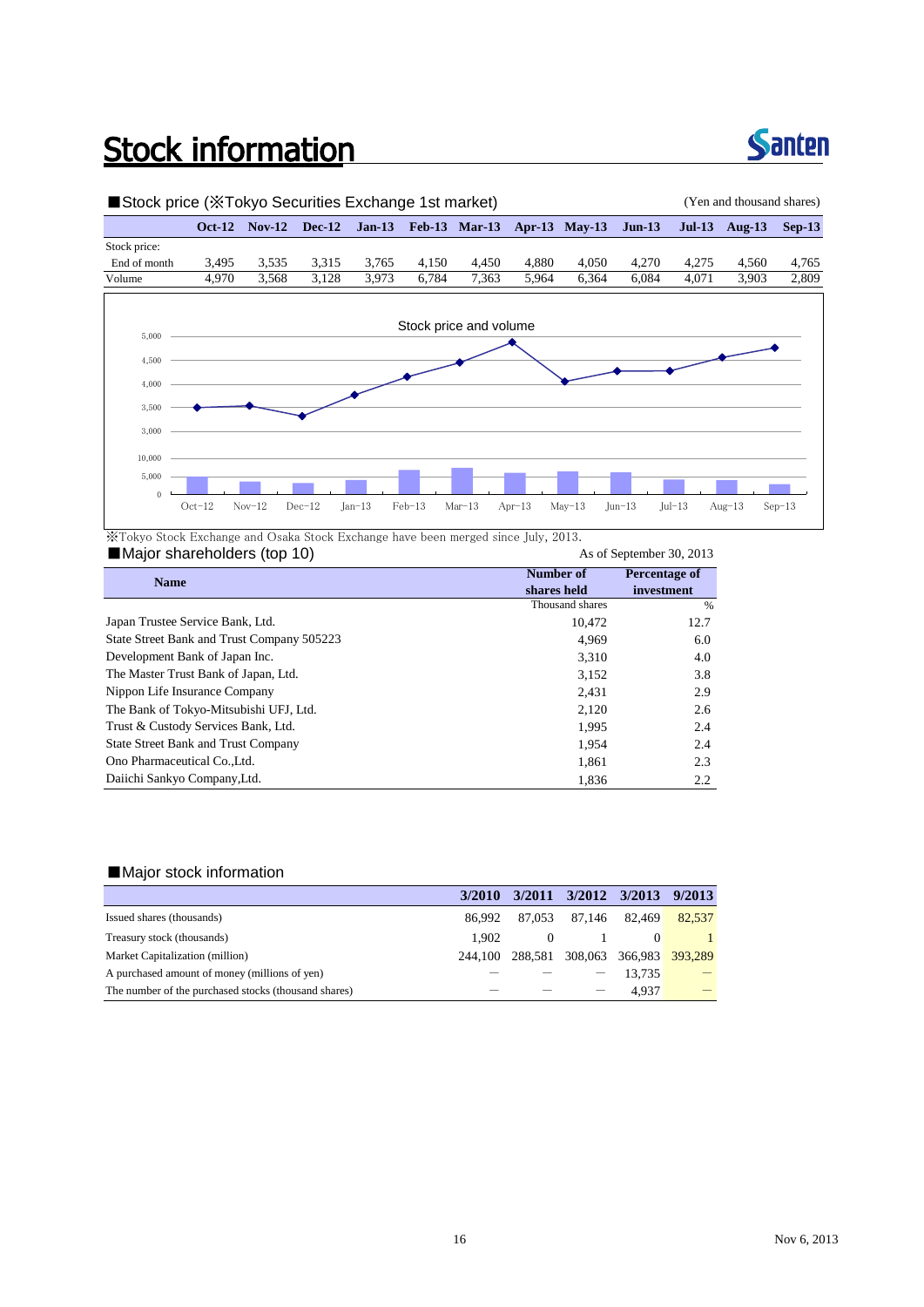## **Stock information**



### ■Stock price (※Tokyo Securities Exchange 1st market) (Yen and thousand shares) **Oct-12 Nov-12 Dec-12 Jan-13 Feb-13 Mar-13 Apr-13 May-13 Jun-13 Jul-13 Aug-13 Sep-13** Stock price: End of month 3,495 3,535 3,315 3,765 4,150 4,450 4,880 4,050 4,270 4,275 4,560 4,765 Volume 4,970 3,568 3,128 3,973 6,784 7,363 5,964 6,364 6,084 4,071 3,903 2,809 3,000 3,500 4,000 4,500 5,000 Stock price and volume  $\theta$ 5,000 10,000 Oct-12 Nov-12 Dec-12 Jan-13 Feb-13 Mar-13 Apr-13 May-13 Jun-13 Jul-13 Aug-13 Sep-13

※Tokyo Stock Exchange and Osaka Stock Exchange have been merged since July, 2013.

### ■Major shareholders (top 10) As of September 30, 2013

| <b>Name</b>                                | Number of                                                                                                                                                                                                           | Percentage of |
|--------------------------------------------|---------------------------------------------------------------------------------------------------------------------------------------------------------------------------------------------------------------------|---------------|
|                                            | shares held<br>investment<br>Thousand shares<br>%<br>12.7<br>10.472<br>4.969<br>6.0<br>3.310<br>4.0<br>3.8<br>3,152<br>2.9<br>2,431<br>2,120<br>2.6<br>1.995<br>2.4<br>1.954<br>2.4<br>2.3<br>1,861<br>1,836<br>2.2 |               |
|                                            |                                                                                                                                                                                                                     |               |
| Japan Trustee Service Bank, Ltd.           |                                                                                                                                                                                                                     |               |
| State Street Bank and Trust Company 505223 |                                                                                                                                                                                                                     |               |
| Development Bank of Japan Inc.             |                                                                                                                                                                                                                     |               |
| The Master Trust Bank of Japan, Ltd.       |                                                                                                                                                                                                                     |               |
| Nippon Life Insurance Company              |                                                                                                                                                                                                                     |               |
| The Bank of Tokyo-Mitsubishi UFJ, Ltd.     |                                                                                                                                                                                                                     |               |
| Trust & Custody Services Bank, Ltd.        |                                                                                                                                                                                                                     |               |
| <b>State Street Bank and Trust Company</b> |                                                                                                                                                                                                                     |               |
| Ono Pharmaceutical Co., Ltd.               |                                                                                                                                                                                                                     |               |
| Daiichi Sankyo Company, Ltd.               |                                                                                                                                                                                                                     |               |

### ■Major stock information

|                                                      | 3/2010  |          | 3/2011 3/2012 3/2013 9/2013     |        |                                 |
|------------------------------------------------------|---------|----------|---------------------------------|--------|---------------------------------|
| Issued shares (thousands)                            | 86.992  |          | 87,053 87,146                   | 82.469 | 82.537                          |
| Treasury stock (thousands)                           | 1.902   | $\theta$ |                                 |        |                                 |
| Market Capitalization (million)                      | 244.100 |          | 288,581 308,063 366,983 393,289 |        |                                 |
| A purchased amount of money (millions of yen)        |         |          |                                 | 13.735 | $\hspace{0.1mm}-\hspace{0.1mm}$ |
| The number of the purchased stocks (thousand shares) |         |          |                                 | 4.937  |                                 |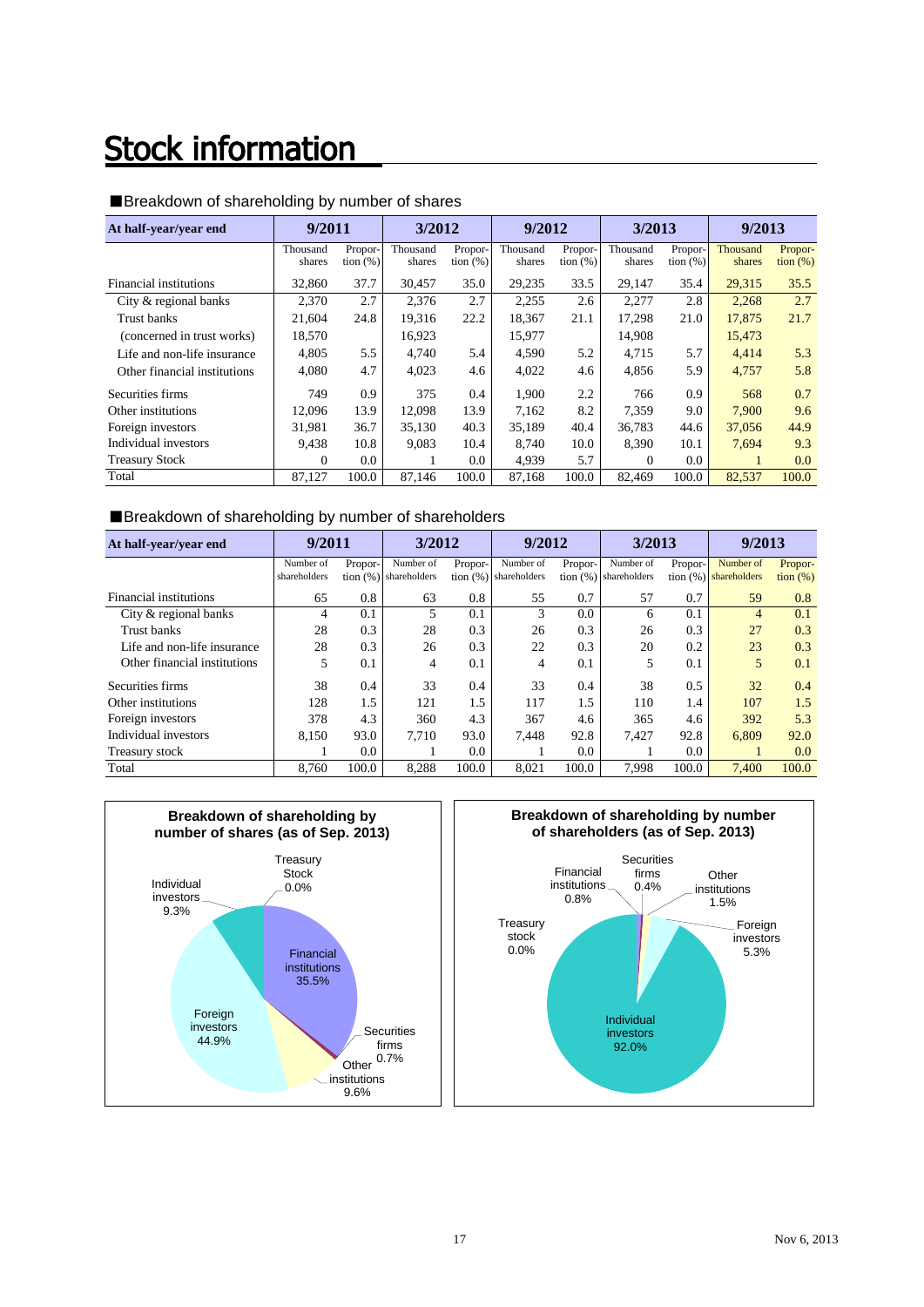## **Stock information**

| At half-year/year end        | 9/2011             |                        | 3/2012             |                        | 9/2012             |                        | 3/2013             |                        | 9/2013             |                              |
|------------------------------|--------------------|------------------------|--------------------|------------------------|--------------------|------------------------|--------------------|------------------------|--------------------|------------------------------|
|                              | Thousand<br>shares | Propor-<br>tion $(\%)$ | Thousand<br>shares | Propor-<br>tion $(\%)$ | Thousand<br>shares | Propor-<br>tion $(\%)$ | Thousand<br>shares | Propor-<br>tion $(\%)$ | Thousand<br>shares | Propor-<br>$\frac{1}{2}$ (%) |
| Financial institutions       | 32,860             | 37.7                   | 30,457             | 35.0                   | 29,235             | 33.5                   | 29,147             | 35.4                   | 29,315             | 35.5                         |
| City & regional banks        | 2,370              | 2.7                    | 2,376              | 2.7                    | 2,255              | 2.6                    | 2,277              | 2.8                    | 2,268              | 2.7                          |
| Trust banks                  | 21,604             | 24.8                   | 19.316             | 22.2                   | 18.367             | 21.1                   | 17.298             | 21.0                   | 17.875             | 21.7                         |
| (concerned in trust works)   | 18,570             |                        | 16,923             |                        | 15,977             |                        | 14,908             |                        | 15,473             |                              |
| Life and non-life insurance  | 4.805              | 5.5                    | 4.740              | 5.4                    | 4,590              | 5.2                    | 4.715              | 5.7                    | 4,414              | 5.3                          |
| Other financial institutions | 4,080              | 4.7                    | 4,023              | 4.6                    | 4,022              | 4.6                    | 4,856              | 5.9                    | 4,757              | 5.8                          |
| Securities firms             | 749                | 0.9                    | 375                | 0.4                    | 1.900              | 2.2                    | 766                | 0.9                    | 568                | 0.7                          |
| Other institutions           | 12.096             | 13.9                   | 12,098             | 13.9                   | 7,162              | 8.2                    | 7.359              | 9.0                    | 7.900              | 9.6                          |
| Foreign investors            | 31.981             | 36.7                   | 35,130             | 40.3                   | 35.189             | 40.4                   | 36,783             | 44.6                   | 37,056             | 44.9                         |
| Individual investors         | 9.438              | 10.8                   | 9,083              | 10.4                   | 8.740              | 10.0                   | 8.390              | 10.1                   | 7,694              | 9.3                          |
| <b>Treasury Stock</b>        | $\Omega$           | 0.0                    | 1                  | 0.0                    | 4,939              | 5.7                    | $\theta$           | 0.0                    |                    | $0.0\,$                      |
| Total                        | 87.127             | 100.0                  | 87.146             | 100.0                  | 87.168             | 100.0                  | 82.469             | 100.0                  | 82.537             | 100.0                        |

### ■Breakdown of shareholding by number of shares

### ■Breakdown of shareholding by number of shareholders

| At half-year/year end        | 9/2011       |               | 3/2012                  |         | 9/2012                  |         | 3/2013                  |         | 9/2013                  |                   |
|------------------------------|--------------|---------------|-------------------------|---------|-------------------------|---------|-------------------------|---------|-------------------------|-------------------|
|                              | Number of    | Propor-       | Number of               | Propor- | Number of               | Propor- | Number of               | Propor- | Number of               | Propor-           |
|                              | shareholders |               | tion $(%)$ shareholders |         | tion $(%)$ shareholders |         | tion $(%)$ shareholders |         | tion $(%)$ shareholders | $\frac{1}{2}$ (%) |
| Financial institutions       | 65           | 0.8           | 63                      | 0.8     | 55                      | 0.7     | 57                      | 0.7     | 59                      | 0.8               |
| City & regional banks        | 4            | 0.1           | 5                       | 0.1     | 3                       | 0.0     | 6                       | 0.1     | 4                       | 0.1               |
| Trust banks                  | 28           | 0.3           | 28                      | 0.3     | 26                      | 0.3     | 26                      | 0.3     | 27                      | 0.3               |
| Life and non-life insurance  | 28           | 0.3           | 26                      | 0.3     | 22                      | 0.3     | 20                      | 0.2     | 23                      | 0.3               |
| Other financial institutions | 5            | 0.1           | 4                       | 0.1     | 4                       | 0.1     | 5                       | 0.1     | 5                       | 0.1               |
| Securities firms             | 38           | 0.4           | 33                      | 0.4     | 33                      | 0.4     | 38                      | 0.5     | 32                      | 0.4               |
| Other institutions           | 128          | 1.5           | 121                     | 1.5     | 117                     | 1.5     | 110                     | 1.4     | 107                     | 1.5               |
| Foreign investors            | 378          | 4.3           | 360                     | 4.3     | 367                     | 4.6     | 365                     | 4.6     | 392                     | 5.3               |
| Individual investors         | 8.150        | 93.0          | 7.710                   | 93.0    | 7.448                   | 92.8    | 7.427                   | 92.8    | 6.809                   | 92.0              |
| Treasury stock               |              | $0.0^{\circ}$ |                         | $0.0\,$ |                         | 0.0     |                         | 0.0     |                         | 0.0               |
| Total                        | 8.760        | 100.0         | 8,288                   | 100.0   | 8.021                   | 100.0   | 7.998                   | 100.0   | 7.400                   | 100.0             |



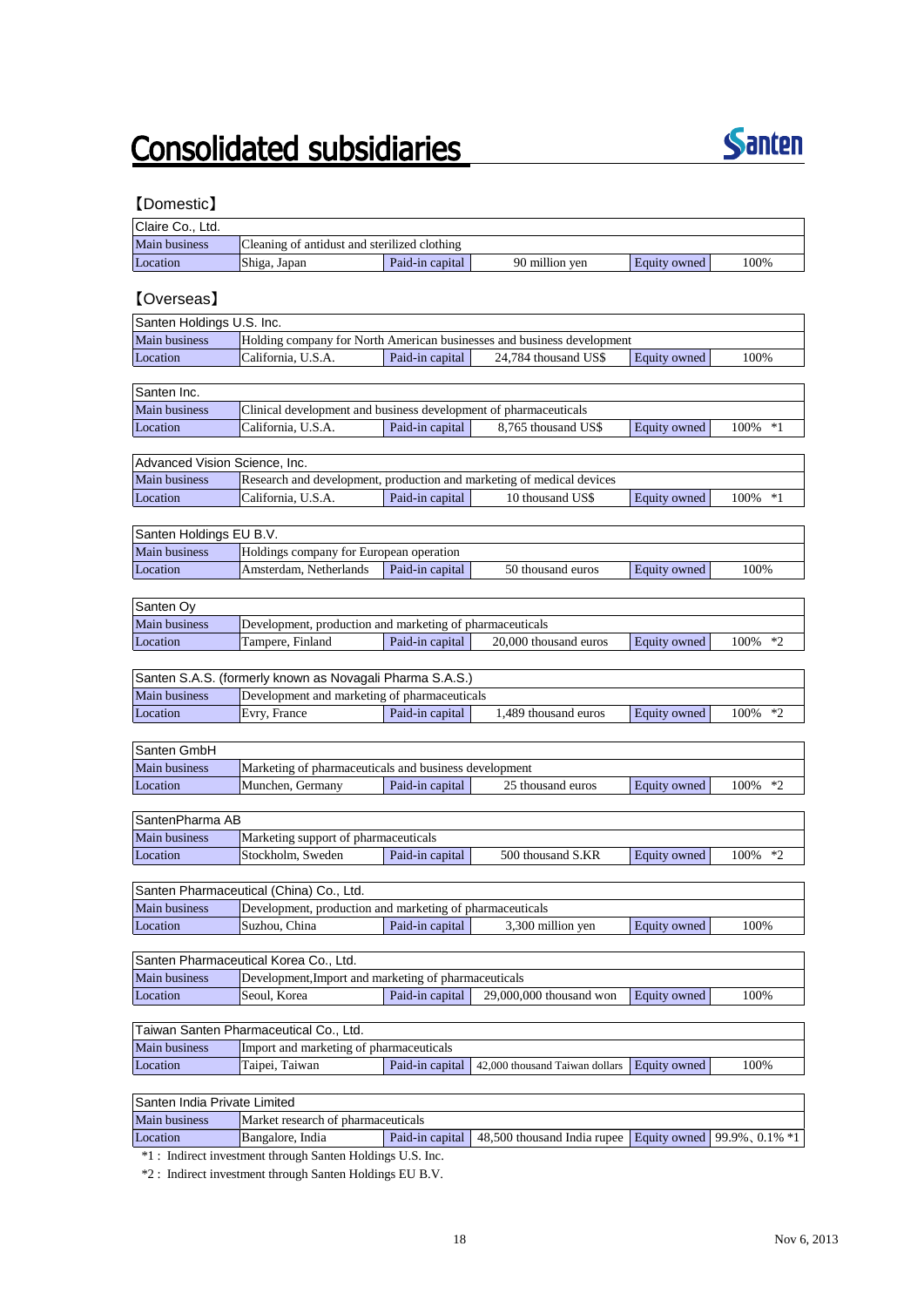## **Consolidated subsidiaries**



### 【Domestic】

| Claire Co., Ltd.              |                                                                  |                 |                                                                        |              |              |
|-------------------------------|------------------------------------------------------------------|-----------------|------------------------------------------------------------------------|--------------|--------------|
| Main business                 | Cleaning of antidust and sterilized clothing                     |                 |                                                                        |              |              |
| Location                      | Shiga, Japan                                                     | Paid-in capital | 90 million yen                                                         | Equity owned | 100%         |
|                               |                                                                  |                 |                                                                        |              |              |
| [Overseas]                    |                                                                  |                 |                                                                        |              |              |
| Santen Holdings U.S. Inc.     |                                                                  |                 |                                                                        |              |              |
| Main business                 |                                                                  |                 | Holding company for North American businesses and business development |              |              |
| Location                      | California, U.S.A.                                               | Paid-in capital | 24,784 thousand US\$                                                   | Equity owned | 100%         |
|                               |                                                                  |                 |                                                                        |              |              |
| Santen Inc.                   |                                                                  |                 |                                                                        |              |              |
| Main business                 | Clinical development and business development of pharmaceuticals |                 |                                                                        |              |              |
| Location                      | California, U.S.A.                                               | Paid-in capital | 8.765 thousand US\$                                                    | Equity owned | 100% *1      |
|                               |                                                                  |                 |                                                                        |              |              |
| Advanced Vision Science, Inc. |                                                                  |                 |                                                                        |              |              |
| Main business                 |                                                                  |                 | Research and development, production and marketing of medical devices  |              |              |
| Location                      | California, U.S.A.                                               | Paid-in capital | 10 thousand US\$                                                       | Equity owned | $100\%$ *1   |
|                               |                                                                  |                 |                                                                        |              |              |
| Santen Holdings EU B.V.       |                                                                  |                 |                                                                        |              |              |
| <b>Main business</b>          | Holdings company for European operation                          |                 |                                                                        |              |              |
| Location                      | Amsterdam, Netherlands                                           | Paid-in capital | 50 thousand euros                                                      | Equity owned | 100%         |
|                               |                                                                  |                 |                                                                        |              |              |
| Santen Oy                     |                                                                  |                 |                                                                        |              |              |
| Main business                 | Development, production and marketing of pharmaceuticals         |                 |                                                                        |              |              |
| Location                      | Tampere, Finland                                                 | Paid-in capital | 20,000 thousand euros                                                  | Equity owned | 100%<br>$*2$ |
|                               |                                                                  |                 |                                                                        |              |              |
|                               | Santen S.A.S. (formerly known as Novagali Pharma S.A.S.)         |                 |                                                                        |              |              |
| Main business                 | Development and marketing of pharmaceuticals                     |                 |                                                                        |              |              |
| Location                      | Evry, France                                                     | Paid-in capital | 1,489 thousand euros                                                   | Equity owned | $*2$<br>100% |
|                               |                                                                  |                 |                                                                        |              |              |
| Santen GmbH                   |                                                                  |                 |                                                                        |              |              |
| Main business                 | Marketing of pharmaceuticals and business development            |                 |                                                                        |              |              |
| Location                      | Munchen, Germany                                                 | Paid-in capital | 25 thousand euros                                                      | Equity owned | $*2$<br>100% |
|                               |                                                                  |                 |                                                                        |              |              |
| SantenPharma AB               |                                                                  |                 |                                                                        |              |              |
| Main business                 | Marketing support of pharmaceuticals                             |                 |                                                                        |              |              |
| Location                      | Stockholm, Sweden                                                | Paid-in capital | 500 thousand S.KR                                                      | Equity owned | 100%<br>$*2$ |
|                               |                                                                  |                 |                                                                        |              |              |
|                               | Santen Pharmaceutical (China) Co., Ltd.                          |                 |                                                                        |              |              |
| Main business                 | Development, production and marketing of pharmaceuticals         |                 |                                                                        |              |              |
| Location                      | Suzhou, China                                                    | Paid-in capital | 3,300 million yen                                                      | Equity owned | 100%         |
|                               |                                                                  |                 |                                                                        |              |              |
|                               | Santen Pharmaceutical Korea Co., Ltd.                            |                 |                                                                        |              |              |
| <b>Main business</b>          | Development, Import and marketing of pharmaceuticals             |                 |                                                                        |              |              |
| Location                      | Seoul, Korea                                                     | Paid-in capital | 29,000,000 thousand won                                                | Equity owned | 100%         |
|                               |                                                                  |                 |                                                                        |              |              |
|                               | Taiwan Santen Pharmaceutical Co., Ltd.                           |                 |                                                                        |              |              |
| Main business                 | Import and marketing of pharmaceuticals                          |                 |                                                                        |              |              |
| Location                      | Taipei, Taiwan                                                   | Paid-in capital | 42,000 thousand Taiwan dollars                                         | Equity owned | 100%         |
|                               |                                                                  |                 |                                                                        |              |              |
| Santen India Private Limited  |                                                                  |                 |                                                                        |              |              |
| Main business                 | Market research of pharmaceuticals                               |                 |                                                                        |              |              |

Location Bangalore, India Paid-in capital 48,500 thousand India rupee Equity owned 99.9%, 0.1% \*1

\*1 : Indirect investment through Santen Holdings U.S. Inc.

\*2 : Indirect investment through Santen Holdings EU B.V.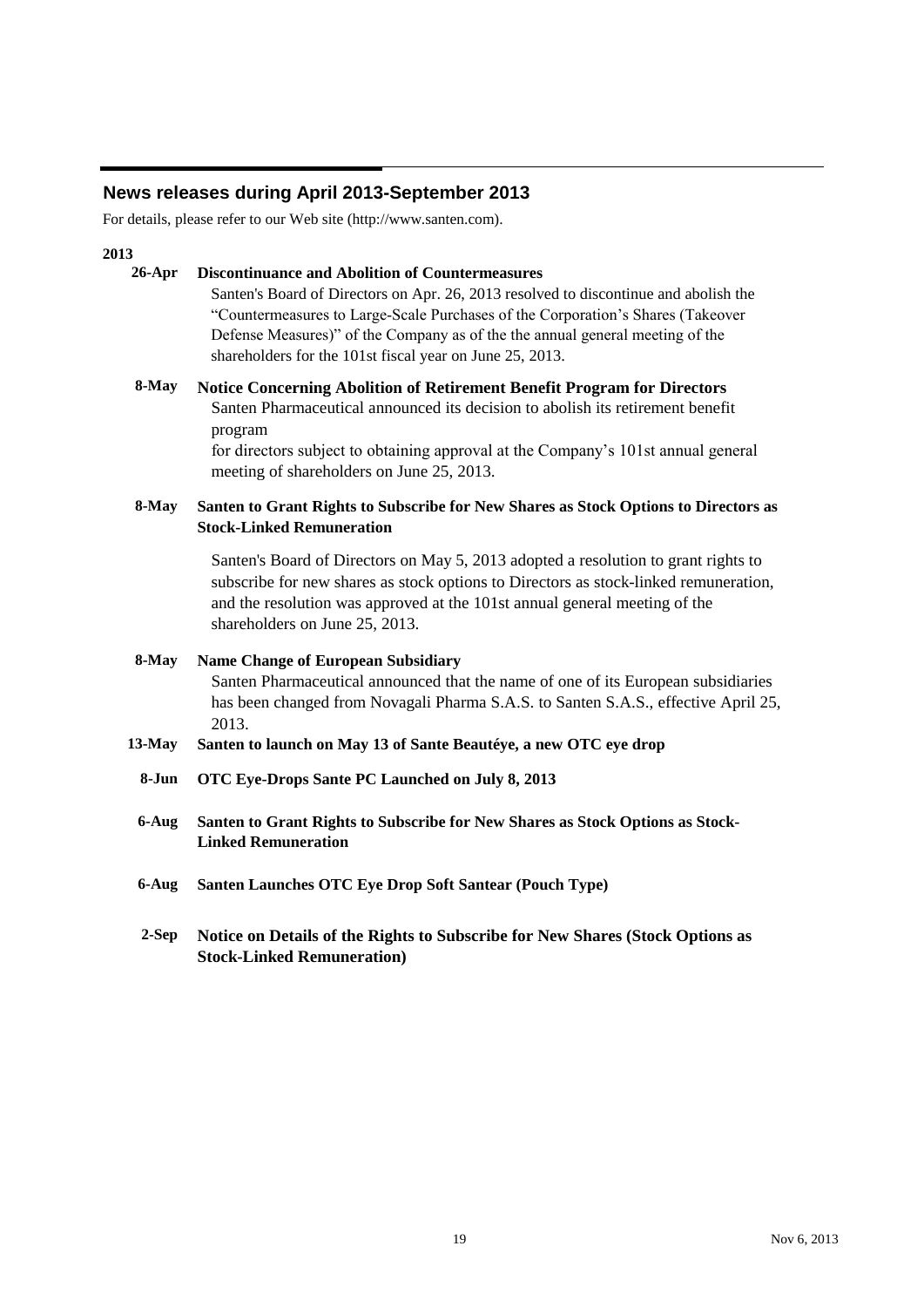### **News releases during April 2013-September 2013**

For details, please refer to our Web site (http://www.santen.com).

### **2013**

### **26-Apr Discontinuance and Abolition of Countermeasures** Santen's Board of Directors on Apr. 26, 2013 resolved to discontinue and abolish the "Countermeasures to Large-Scale Purchases of the Corporation's Shares (Takeover Defense Measures)" of the Company as of the the annual general meeting of the shareholders for the 101st fiscal year on June 25, 2013.

**8-May Notice Concerning Abolition of Retirement Benefit Program for Directors** Santen Pharmaceutical announced its decision to abolish its retirement benefit program

> for directors subject to obtaining approval at the Company's 101st annual general meeting of shareholders on June 25, 2013.

#### **8-May Santen to Grant Rights to Subscribe for New Shares as Stock Options to Directors as Stock-Linked Remuneration**

Santen's Board of Directors on May 5, 2013 adopted a resolution to grant rights to subscribe for new shares as stock options to Directors as stock-linked remuneration, and the resolution was approved at the 101st annual general meeting of the shareholders on June 25, 2013.

**8-May Name Change of European Subsidiary** Santen Pharmaceutical announced that the name of one of its European subsidiaries has been changed from Novagali Pharma S.A.S. to Santen S.A.S., effective April 25, 2013.

- **13-May Santen to launch on May 13 of Sante Beautéye, a new OTC eye drop**
	- **8-Jun OTC Eye-Drops Sante PC Launched on July 8, 2013**
	- **6-Aug Santen to Grant Rights to Subscribe for New Shares as Stock Options as Stock-Linked Remuneration**
	- **6-Aug Santen Launches OTC Eye Drop Soft Santear (Pouch Type)**
	- **2-Sep Notice on Details of the Rights to Subscribe for New Shares (Stock Options as Stock-Linked Remuneration)**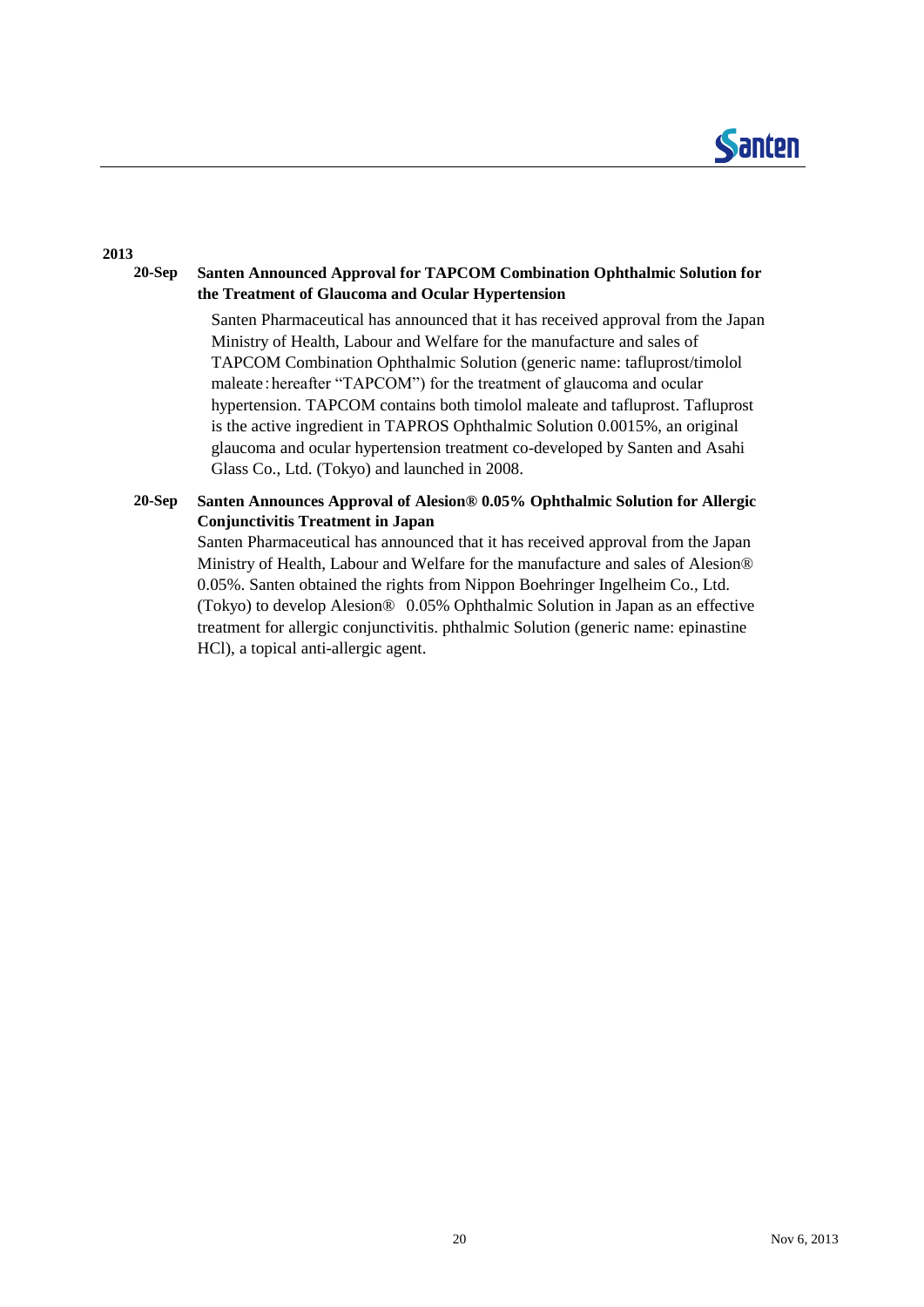

### **2013**

#### **20-Sep Santen Announced Approval for TAPCOM Combination Ophthalmic Solution for the Treatment of Glaucoma and Ocular Hypertension**

Santen Pharmaceutical has announced that it has received approval from the Japan Ministry of Health, Labour and Welfare for the manufacture and sales of TAPCOM Combination Ophthalmic Solution (generic name: tafluprost/timolol maleate: hereafter "TAPCOM") for the treatment of glaucoma and ocular hypertension. TAPCOM contains both timolol maleate and tafluprost. Tafluprost is the active ingredient in TAPROS Ophthalmic Solution 0.0015%, an original glaucoma and ocular hypertension treatment co-developed by Santen and Asahi Glass Co., Ltd. (Tokyo) and launched in 2008.

### **20-Sep Santen Announces Approval of Alesion® 0.05% Ophthalmic Solution for Allergic Conjunctivitis Treatment in Japan**

Santen Pharmaceutical has announced that it has received approval from the Japan Ministry of Health, Labour and Welfare for the manufacture and sales of Alesion® 0.05%. Santen obtained the rights from Nippon Boehringer Ingelheim Co., Ltd. (Tokyo) to develop Alesion® 0.05% Ophthalmic Solution in Japan as an effective treatment for allergic conjunctivitis. phthalmic Solution (generic name: epinastine HCl), a topical anti-allergic agent.